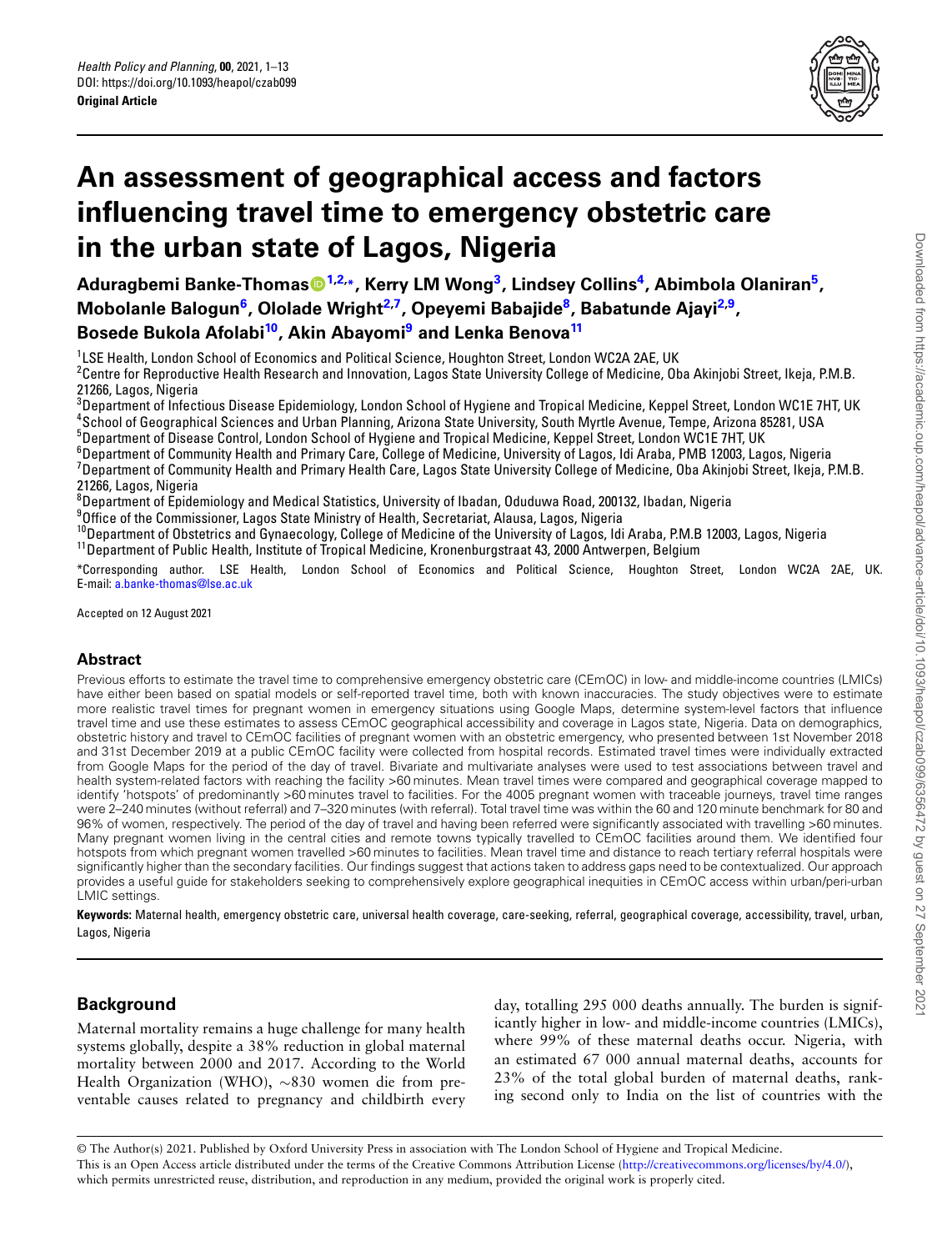

# **An assessment of geographical access and factors influencing travel time to emergency obstetric care in the urban state of Lagos, Nigeria**

**Aduragbemi Banke-Thomas[1,](#page-0-0)[2](#page-0-1),\*, Kerry LM Wong[3](#page-0-2) , Lindsey Collins[4](#page-0-3) , Abimbola Olaniran[5](#page-0-4) , Mobolanle Balogun[6](#page-0-5) , Ololade Wright[2](#page-0-1)[,7](#page-0-6) , Opeyemi Babajide[8](#page-0-7) , Babatunde Ajayi[2](#page-0-1)[,9](#page-0-8) , Bosede Bukola Afolabi[10](#page-0-9), Akin Abayomi[9](#page-0-8) and Lenka Benova[11](#page-0-10)**

 $^{1}_{\,}$ LSE Health, London School of Economics and Political Science, Houghton Street, London WC2A 2AE, UK

<span id="page-0-1"></span><span id="page-0-0"></span> $^{\rm 2}$ Centre for Reproductive Health Research and Innovation, Lagos State University College of Medicine, Oba Akinjobi Street, Ikeja, P.M.B. 21266, Lagos, Nigeria

<span id="page-0-2"></span><sup>3</sup>Department of Infectious Disease Epidemiology, London School of Hygiene and Tropical Medicine, Keppel Street, London WC1E 7HT, UK 4 School of Geographical Sciences and Urban Planning, Arizona State University, South Myrtle Avenue, Tempe, Arizona 85281, USA

<span id="page-0-3"></span><sup>5</sup>Department of Disease Control, London School of Hygiene and Tropical Medicine, Keppel Street, London WC1E 7HT, UK

<span id="page-0-5"></span><span id="page-0-4"></span><sup>6</sup>Department of Community Health and Primary Care, College of Medicine, University of Lagos, Idi Araba, PMB 12003, Lagos, Nigeria <sup>7</sup> Department of Community Health and Primary Health Care, Lagos State University College of Medicine, Oba Akinjobi Street, Ikeja, P.M.B. 21266, Lagos, Nigeria

<span id="page-0-6"></span><sup>8</sup>Department of Epidemiology and Medical Statistics, University of Ibadan, Oduduwa Road, 200132, Ibadan, Nigeria

<span id="page-0-7"></span>9Dffice of the Commissioner, Lagos State Ministry of Health, Secretariat, Alausa, Lagos, Nigeria

<span id="page-0-9"></span><span id="page-0-8"></span><sup>10</sup>Department of Obstetrics and Gynaecology, College of Medicine of the University of Lagos, Idi Araba, P.M.B 12003, Lagos, Nigeria <sup>11</sup>Department of Public Health, Institute of Tropical Medicine, Kronenburgstraat 43, 2000 Antwerpen, Belgium

<span id="page-0-10"></span>\*Corresponding author. LSE Health, London School of Economics and Political Science, Houghton Street, London WC2A 2AE, UK. E-mail: [a.banke-thomas@lse.ac.uk](mailto:a.banke-thomas@lse.ac.uk)

Accepted on 12 August 2021

## **Abstract**

Previous efforts to estimate the travel time to comprehensive emergency obstetric care (CEmOC) in low- and middle-income countries (LMICs) have either been based on spatial models or self-reported travel time, both with known inaccuracies. The study objectives were to estimate more realistic travel times for pregnant women in emergency situations using Google Maps, determine system-level factors that influence travel time and use these estimates to assess CEmOC geographical accessibility and coverage in Lagos state, Nigeria. Data on demographics, obstetric history and travel to CEmOC facilities of pregnant women with an obstetric emergency, who presented between 1st November 2018 and 31st December 2019 at a public CEmOC facility were collected from hospital records. Estimated travel times were individually extracted from Google Maps for the period of the day of travel. Bivariate and multivariate analyses were used to test associations between travel and health system-related factors with reaching the facility >60 minutes. Mean travel times were compared and geographical coverage mapped to identify 'hotspots' of predominantly >60 minutes travel to facilities. For the 4005 pregnant women with traceable journeys, travel time ranges were 2–240 minutes (without referral) and 7–320 minutes (with referral). Total travel time was within the 60 and 120 minute benchmark for 80 and 96% of women, respectively. The period of the day of travel and having been referred were significantly associated with travelling >60 minutes. Many pregnant women living in the central cities and remote towns typically travelled to CEmOC facilities around them. We identified four hotspots from which pregnant women travelled >60 minutes to facilities. Mean travel time and distance to reach tertiary referral hospitals were significantly higher than the secondary facilities. Our findings suggest that actions taken to address gaps need to be contextualized. Our approach provides a useful guide for stakeholders seeking to comprehensively explore geographical inequities in CEmOC access within urban/peri-urban LMIC settings.

**Keywords:** Maternal health, emergency obstetric care, universal health coverage, care-seeking, referral, geographical coverage, accessibility, travel, urban, Lagos, Nigeria

# **Background**

Maternal mortality remains a huge challenge for many health systems globally, despite a 38% reduction in global maternal mortality between 2000 and 2017. According to the World Health Organization (WHO), *∼*830 women die from preventable causes related to pregnancy and childbirth every

day, totalling 295 000 deaths annually. The burden is significantly higher in low- and middle-income countries (LMICs), where 99% of these maternal deaths occur. Nigeria, with an estimated 67 000 annual maternal deaths, accounts for 23% of the total global burden of maternal deaths, ranking second only to India on the list of countries with the

© The Author(s) 2021. Published by Oxford University Press in association with The London School of Hygiene and Tropical Medicine. This is an Open Access article distributed under the terms of the Creative Commons Attribution License [\(http://creativecommons.org/licenses/by/4.0/](http://creativecommons.org/licenses/by/4.0/)), which permits unrestricted reuse, distribution, and reproduction in any medium, provided the original work is properly cited.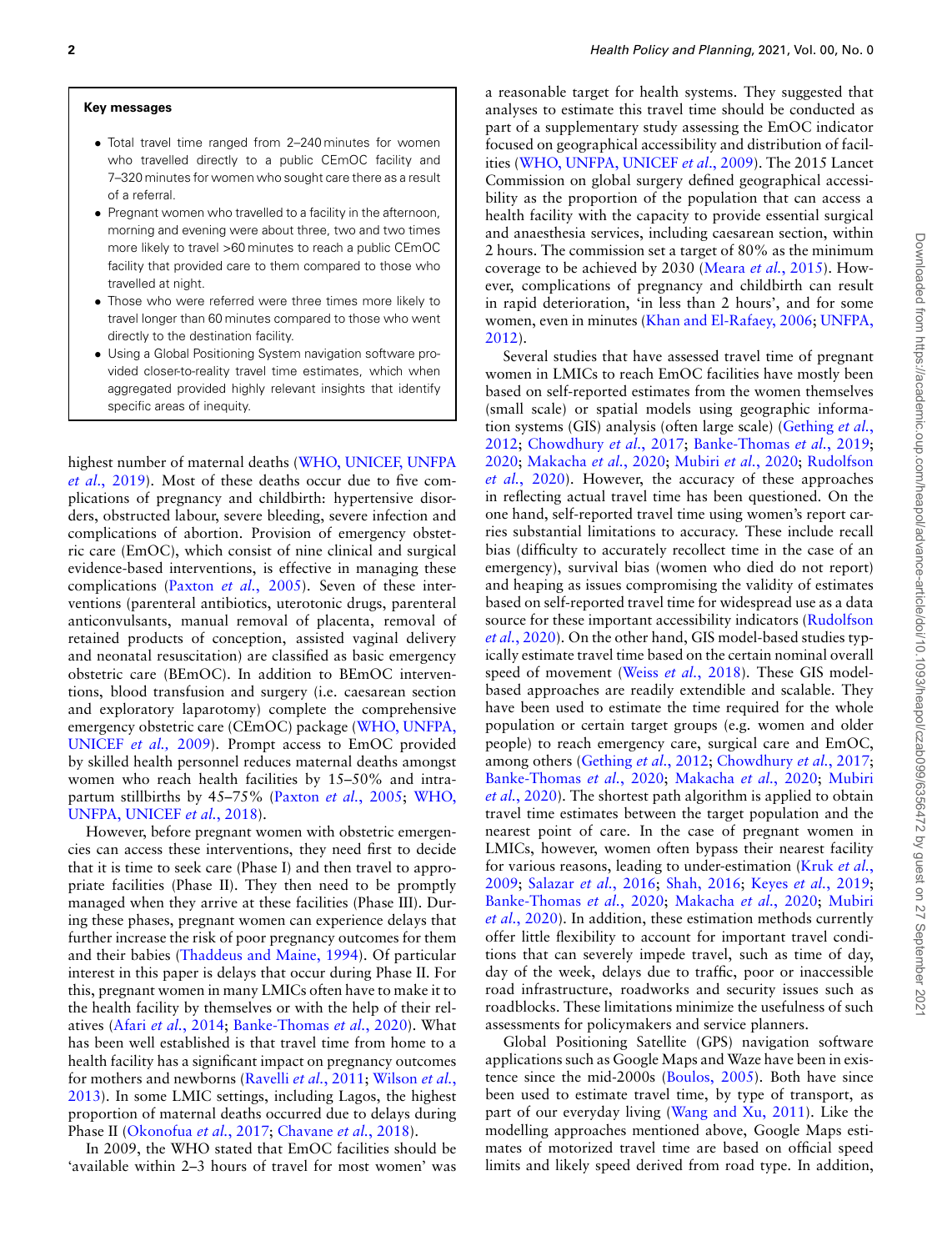#### **Key messages**

- *•* Total travel time ranged from 2–240 minutes for women who travelled directly to a public CEmOC facility and 7–320 minutes for women who sought care there as a result of a referral.
- *•* Pregnant women who travelled to a facility in the afternoon, morning and evening were about three, two and two times more likely to travel >60 minutes to reach a public CEmOC facility that provided care to them compared to those who travelled at night.
- *•* Those who were referred were three times more likely to travel longer than 60 minutes compared to those who went directly to the destination facility.
- *•* Using a Global Positioning System navigation software provided closer-to-reality travel time estimates, which when aggregated provided highly relevant insights that identify specific areas of inequity.

highest number of maternal deaths([WHO, UNICEF, UNFPA](#page-12-0) *et al*[., 2019\)](#page-12-0). Most of these deaths occur due to five complications of pregnancy and childbirth: hypertensive disorders, obstructed labour, severe bleeding, severe infection and complications of abortion. Provision of emergency obstetric care (EmOC), which consist of nine clinical and surgical evidence-based interventions, is effective in managing these complications (Paxton *et al.*[, 2005\)](#page-11-0). Seven of these interventions (parenteral antibiotics, uterotonic drugs, parenteral anticonvulsants, manual removal of placenta, removal of retained products of conception, assisted vaginal delivery and neonatal resuscitation) are classified as basic emergency obstetric care (BEmOC). In addition to BEmOC interventions, blood transfusion and surgery (i.e. caesarean section and exploratory laparotomy) complete the comprehensive emergency obstetric care (CEmOC) package [\(WHO, UNFPA,](#page-12-1) [UNICEF](#page-12-1) *et al.,* 2009). Prompt access to EmOC provided by skilled health personnel reduces maternal deaths amongst women who reach health facilities by 15–50% and intrapartum stillbirths by 45–75%([Paxton](#page-11-0) *et al.*, 2005; [WHO,](#page-12-2) [UNFPA, UNICEF](#page-12-2) *et al.*, 2018).

However, before pregnant women with obstetric emergencies can access these interventions, they need first to decide that it is time to seek care (Phase I) and then travel to appropriate facilities (Phase II). They then need to be promptly managed when they arrive at these facilities (Phase III). During these phases, pregnant women can experience delays that further increase the risk of poor pregnancy outcomes for them and their babies([Thaddeus and Maine, 1994](#page-11-1)). Of particular interest in this paper is delays that occur during Phase II. For this, pregnant women in many LMICs often have to make it to the health facility by themselves or with the help of their relatives (Afari *et al.*[, 2014](#page-10-0); [Banke-Thomas](#page-10-1) *et al.*, 2020). What has been well established is that travel time from home to a health facility has a significant impact on pregnancy outcomes for mothers and newborns [\(Ravelli](#page-11-2) *et al.*, 2011; [Wilson](#page-12-3) *et al.*, [2013](#page-12-3)). In some LMIC settings, including Lagos, the highest proportion of maternal deaths occurred due to delays during Phase II([Okonofua](#page-11-3) *et al.*, 2017; [Chavane](#page-10-2) *et al.*, 2018).

In 2009, the WHO stated that EmOC facilities should be 'available within 2–3 hours of travel for most women' was

a reasonable target for health systems. They suggested that analyses to estimate this travel time should be conducted as part of a supplementary study assessing the EmOC indicator focused on geographical accessibility and distribution of facilities([WHO, UNFPA, UNICEF](#page-12-1) *et al*., 2009). The 2015 Lancet Commission on global surgery defined geographical accessibility as the proportion of the population that can access a health facility with the capacity to provide essential surgical and anaesthesia services, including caesarean section, within 2 hours. The commission set a target of 80% as the minimum coverage to be achieved by 2030 [\(Meara](#page-11-4) *et al.*, 2015). However, complications of pregnancy and childbirth can result in rapid deterioration, 'in less than 2 hours', and for some women, even in minutes [\(Khan and El-Rafaey, 2006](#page-11-5); [UNFPA,](#page-11-6) [2012](#page-11-6)).

Several studies that have assessed travel time of pregnant women in LMICs to reach EmOC facilities have mostly been based on self-reported estimates from the women themselves (small scale) or spatial models using geographic information systems (GIS) analysis (often large scale)([Gething](#page-11-7) *et al.*, [2012](#page-11-7); [Chowdhury](#page-11-8) *et al.*, 2017; [Banke-Thomas](#page-10-3) *et al.*, 2019; [2020](#page-10-1); [Makacha](#page-11-9) *et al.*, 2020; [Mubiri](#page-11-10) *et al.*, 2020; [Rudolfson](#page-11-11) *et al.*[, 2020\)](#page-11-11). However, the accuracy of these approaches in reflecting actual travel time has been questioned. On the one hand, self-reported travel time using women's report carries substantial limitations to accuracy. These include recall bias (difficulty to accurately recollect time in the case of an emergency), survival bias (women who died do not report) and heaping as issues compromising the validity of estimates based on self-reported travel time for widespread use as a data source for these important accessibility indicators [\(Rudolfson](#page-11-11) *et al.*[, 2020\)](#page-11-11). On the other hand, GIS model-based studies typically estimate travel time based on the certain nominal overall speed of movement (Weiss *et al.*[, 2018\)](#page-12-4). These GIS modelbased approaches are readily extendible and scalable. They have been used to estimate the time required for the whole population or certain target groups (e.g. women and older people) to reach emergency care, surgical care and EmOC, among others([Gething](#page-11-7) *et al.*, 2012; [Chowdhury](#page-11-8) *et al.*, 2017; [Banke-Thomas](#page-10-1) *et al.*, 2020; [Makacha](#page-11-9) *et al.*, 2020; [Mubiri](#page-11-10) *et al.*[, 2020\)](#page-11-10). The shortest path algorithm is applied to obtain travel time estimates between the target population and the nearest point of care. In the case of pregnant women in LMICs, however, women often bypass their nearest facility for various reasons, leading to under-estimation [\(Kruk](#page-11-12) *et al.*, [2009](#page-11-12); [Salazar](#page-11-13) *et al.*, 2016; [Shah, 2016;](#page-11-14) Keyes *et al.*[, 2019](#page-11-15); [Banke-Thomas](#page-10-1) *et al.*, 2020; [Makacha](#page-11-9) *et al.*, 2020; [Mubiri](#page-11-10) *et al.*[, 2020](#page-11-10)). In addition, these estimation methods currently offer little flexibility to account for important travel conditions that can severely impede travel, such as time of day, day of the week, delays due to traffic, poor or inaccessible road infrastructure, roadworks and security issues such as roadblocks. These limitations minimize the usefulness of such assessments for policymakers and service planners.

Global Positioning Satellite (GPS) navigation software applications such as Google Maps and Waze have been in existence since the mid-2000s [\(Boulos, 2005\)](#page-10-4). Both have since been used to estimate travel time, by type of transport, as part of our everyday living([Wang and Xu, 2011\)](#page-12-5). Like the modelling approaches mentioned above, Google Maps estimates of motorized travel time are based on official speed limits and likely speed derived from road type. In addition,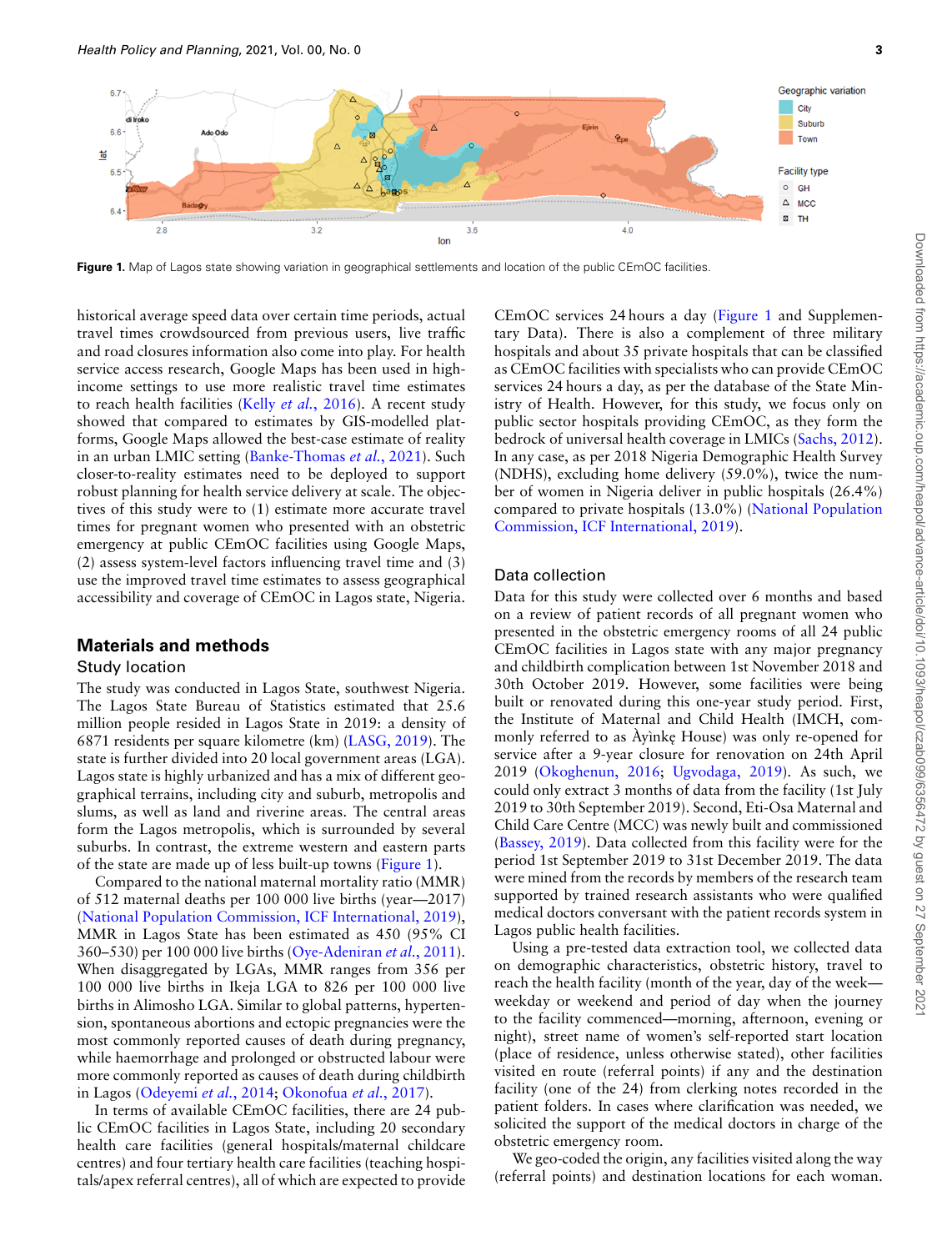<span id="page-2-0"></span>

Figure 1. Map of Lagos state showing variation in geographical settlements and location of the public CEmOC facilities.

historical average speed data over certain time periods, actual travel times crowdsourced from previous users, live traffic and road closures information also come into play. For health service access research, Google Maps has been used in highincome settings to use more realistic travel time estimates to reach health facilities (Kelly *et al.*[, 2016\)](#page-11-16). A recent study showed that compared to estimates by GIS-modelled platforms, Google Maps allowed the best-case estimate of reality in an urban LMIC setting [\(Banke-Thomas](#page-10-5) *et al.*, 2021). Such closer-to-reality estimates need to be deployed to support robust planning for health service delivery at scale. The objectives of this study were to (1) estimate more accurate travel times for pregnant women who presented with an obstetric emergency at public CEmOC facilities using Google Maps, (2) assess system-level factors influencing travel time and (3) use the improved travel time estimates to assess geographical accessibility and coverage of CEmOC in Lagos state, Nigeria.

#### **Materials and methods**

#### Study location

The study was conducted in Lagos State, southwest Nigeria. The Lagos State Bureau of Statistics estimated that 25.6 million people resided in Lagos State in 2019: a density of 6871 residents per square kilometre (km)([LASG, 2019\)](#page-11-17). The state is further divided into 20 local government areas (LGA). Lagos state is highly urbanized and has a mix of different geographical terrains, including city and suburb, metropolis and slums, as well as land and riverine areas. The central areas form the Lagos metropolis, which is surrounded by several suburbs. In contrast, the extreme western and eastern parts of the state are made up of less built-up towns [\(Figure 1](#page-2-0)).

Compared to the national maternal mortality ratio (MMR) of 512 maternal deaths per 100 000 live births (year—2017) [\(National Population Commission, ICF International, 2019\)](#page-11-18), MMR in Lagos State has been estimated as 450 (95% CI 360–530) per 100 000 live births([Oye-Adeniran](#page-11-19) *et al.*, 2011). When disaggregated by LGAs, MMR ranges from 356 per 100 000 live births in Ikeja LGA to 826 per 100 000 live births in Alimosho LGA. Similar to global patterns, hypertension, spontaneous abortions and ectopic pregnancies were the most commonly reported causes of death during pregnancy, while haemorrhage and prolonged or obstructed labour were more commonly reported as causes of death during childbirth in Lagos([Odeyemi](#page-11-20) *et al.*, 2014; [Okonofua](#page-11-3) *et al.*, 2017).

In terms of available CEmOC facilities, there are 24 public CEmOC facilities in Lagos State, including 20 secondary health care facilities (general hospitals/maternal childcare centres) and four tertiary health care facilities (teaching hospitals/apex referral centres), all of which are expected to provide

CEmOC services 24 hours a day [\(Figure 1](#page-2-0) and Supplementary Data). There is also a complement of three military hospitals and about 35 private hospitals that can be classified as CEmOC facilities with specialists who can provide CEmOC services 24 hours a day, as per the database of the State Ministry of Health. However, for this study, we focus only on public sector hospitals providing CEmOC, as they form the bedrock of universal health coverage in LMICs [\(Sachs, 2012\)](#page-11-21). In any case, as per 2018 Nigeria Demographic Health Survey (NDHS), excluding home delivery (59.0%), twice the number of women in Nigeria deliver in public hospitals (26.4%) compared to private hospitals (13.0%) [\(National Population](#page-11-18) [Commission, ICF International, 2019](#page-11-18)).

#### Data collection

Data for this study were collected over 6 months and based on a review of patient records of all pregnant women who presented in the obstetric emergency rooms of all 24 public CEmOC facilities in Lagos state with any major pregnancy and childbirth complication between 1st November 2018 and 30th October 2019. However, some facilities were being built or renovated during this one-year study period. First, the Institute of Maternal and Child Health (IMCH, commonly referred to as Ayinkę House) was only re-opened for service after a 9-year closure for renovation on 24th April 2019 [\(Okoghenun, 2016](#page-11-22); [Ugvodaga, 2019\)](#page-11-23). As such, we could only extract 3 months of data from the facility (1st July 2019 to 30th September 2019). Second, Eti-Osa Maternal and Child Care Centre (MCC) was newly built and commissioned [\(Bassey, 2019\)](#page-10-6). Data collected from this facility were for the period 1st September 2019 to 31st December 2019. The data were mined from the records by members of the research team supported by trained research assistants who were qualified medical doctors conversant with the patient records system in Lagos public health facilities.

Using a pre-tested data extraction tool, we collected data on demographic characteristics, obstetric history, travel to reach the health facility (month of the year, day of the week weekday or weekend and period of day when the journey to the facility commenced—morning, afternoon, evening or night), street name of women's self-reported start location (place of residence, unless otherwise stated), other facilities visited en route (referral points) if any and the destination facility (one of the 24) from clerking notes recorded in the patient folders. In cases where clarification was needed, we solicited the support of the medical doctors in charge of the obstetric emergency room.

We geo-coded the origin, any facilities visited along the way (referral points) and destination locations for each woman.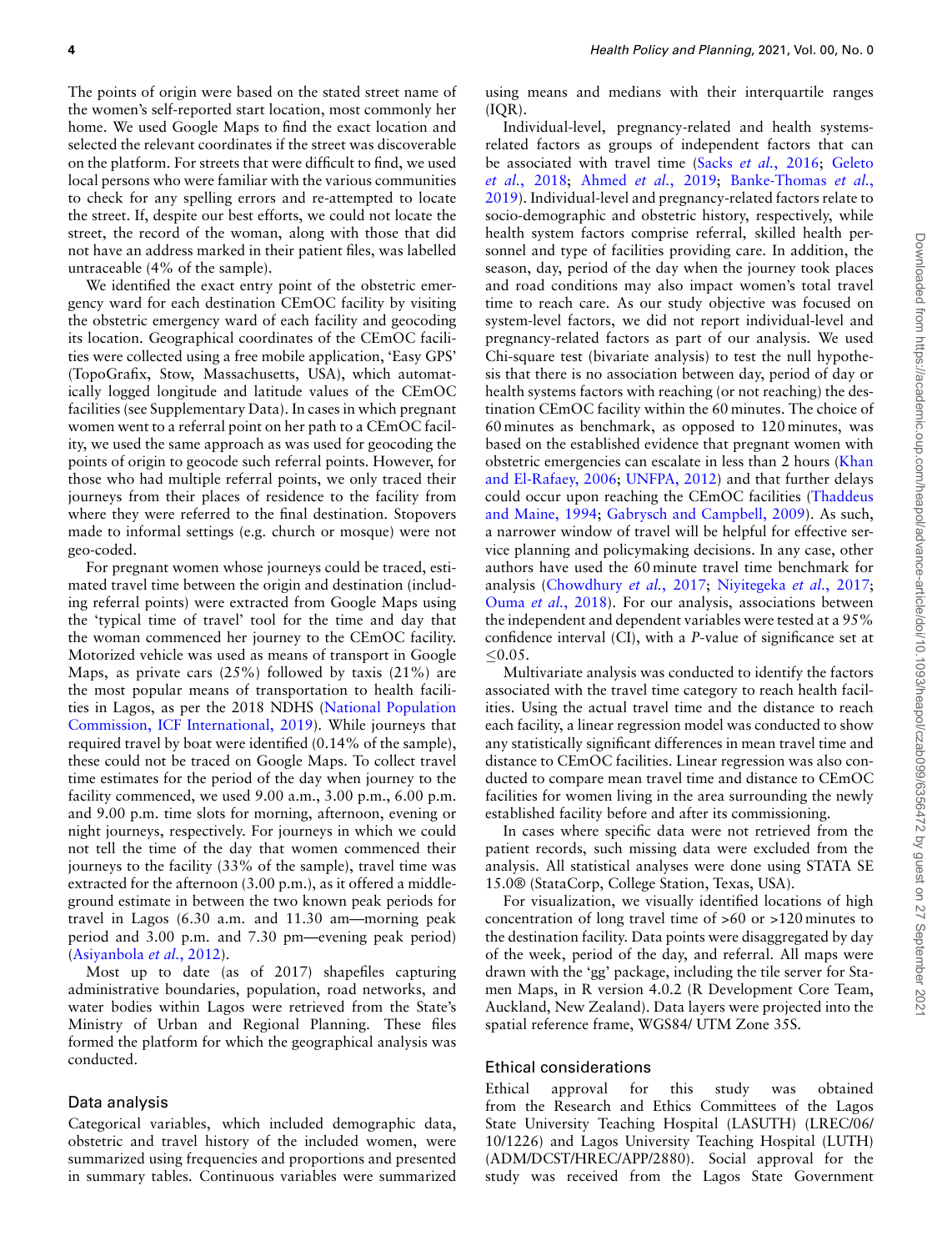The points of origin were based on the stated street name of the women's self-reported start location, most commonly her home. We used Google Maps to find the exact location and selected the relevant coordinates if the street was discoverable on the platform. For streets that were difficult to find, we used local persons who were familiar with the various communities to check for any spelling errors and re-attempted to locate the street. If, despite our best efforts, we could not locate the street, the record of the woman, along with those that did not have an address marked in their patient files, was labelled untraceable (4% of the sample).

We identified the exact entry point of the obstetric emergency ward for each destination CEmOC facility by visiting the obstetric emergency ward of each facility and geocoding its location. Geographical coordinates of the CEmOC facilities were collected using a free mobile application, 'Easy GPS' (TopoGrafix, Stow, Massachusetts, USA), which automatically logged longitude and latitude values of the CEmOC facilities (see Supplementary Data). In cases in which pregnant women went to a referral point on her path to a CEmOC facility, we used the same approach as was used for geocoding the points of origin to geocode such referral points. However, for those who had multiple referral points, we only traced their journeys from their places of residence to the facility from where they were referred to the final destination. Stopovers made to informal settings (e.g. church or mosque) were not geo-coded.

For pregnant women whose journeys could be traced, estimated travel time between the origin and destination (including referral points) were extracted from Google Maps using the 'typical time of travel' tool for the time and day that the woman commenced her journey to the CEmOC facility. Motorized vehicle was used as means of transport in Google Maps, as private cars (25%) followed by taxis (21%) are the most popular means of transportation to health facilities in Lagos, as per the 2018 NDHS([National Population](#page-11-18) [Commission, ICF International, 2019\)](#page-11-18). While journeys that required travel by boat were identified (0.14% of the sample), these could not be traced on Google Maps. To collect travel time estimates for the period of the day when journey to the facility commenced, we used 9.00 a.m., 3.00 p.m., 6.00 p.m. and 9.00 p.m. time slots for morning, afternoon, evening or night journeys, respectively. For journeys in which we could not tell the time of the day that women commenced their journeys to the facility (33% of the sample), travel time was extracted for the afternoon (3.00 p.m.), as it offered a middleground estimate in between the two known peak periods for travel in Lagos (6.30 a.m. and 11.30 am—morning peak period and 3.00 p.m. and 7.30 pm—evening peak period) ([Asiyanbola](#page-10-7) *et al.*, 2012).

Most up to date (as of 2017) shapefiles capturing administrative boundaries, population, road networks, and water bodies within Lagos were retrieved from the State's Ministry of Urban and Regional Planning. These files formed the platform for which the geographical analysis was conducted.

#### Data analysis

Categorical variables, which included demographic data, obstetric and travel history of the included women, were summarized using frequencies and proportions and presented in summary tables. Continuous variables were summarized

using means and medians with their interquartile ranges (IQR).

Individual-level, pregnancy-related and health systemsrelated factors as groups of independent factors that can be associated with travel time (Sacks *et al.*[, 2016;](#page-11-24) [Geleto](#page-11-25) *et al.*[, 2018;](#page-11-25) Ahmed *et al.*[, 2019](#page-10-8); [Banke-Thomas](#page-10-3) *et al.*, [2019](#page-10-3)). Individual-level and pregnancy-related factors relate to socio-demographic and obstetric history, respectively, while health system factors comprise referral, skilled health personnel and type of facilities providing care. In addition, the season, day, period of the day when the journey took places and road conditions may also impact women's total travel time to reach care. As our study objective was focused on system-level factors, we did not report individual-level and pregnancy-related factors as part of our analysis. We used Chi-square test (bivariate analysis) to test the null hypothesis that there is no association between day, period of day or health systems factors with reaching (or not reaching) the destination CEmOC facility within the 60 minutes. The choice of 60 minutes as benchmark, as opposed to 120 minutes, was based on the established evidence that pregnant women with obstetric emergencies can escalate in less than 2 hours [\(Khan](#page-11-5) [and El-Rafaey, 2006;](#page-11-5) [UNFPA, 2012\)](#page-11-6) and that further delays could occur upon reaching the CEmOC facilities([Thaddeus](#page-11-1) [and Maine, 1994;](#page-11-1) [Gabrysch and Campbell, 2009\)](#page-11-26). As such, a narrower window of travel will be helpful for effective service planning and policymaking decisions. In any case, other authors have used the 60 minute travel time benchmark for analysis([Chowdhury](#page-11-8) *et al.*, 2017; [Niyitegeka](#page-11-27) *et al.*, 2017; Ouma *et al.*[, 2018\)](#page-11-28). For our analysis, associations between the independent and dependent variables were tested at a 95% confidence interval (CI), with a *P*-value of significance set at *≤*0.05.

Multivariate analysis was conducted to identify the factors associated with the travel time category to reach health facilities. Using the actual travel time and the distance to reach each facility, a linear regression model was conducted to show any statistically significant differences in mean travel time and distance to CEmOC facilities. Linear regression was also conducted to compare mean travel time and distance to CEmOC facilities for women living in the area surrounding the newly established facility before and after its commissioning.

In cases where specific data were not retrieved from the patient records, such missing data were excluded from the analysis. All statistical analyses were done using STATA SE 15.0® (StataCorp, College Station, Texas, USA).

For visualization, we visually identified locations of high concentration of long travel time of >60 or >120 minutes to the destination facility. Data points were disaggregated by day of the week, period of the day, and referral. All maps were drawn with the 'gg' package, including the tile server for Stamen Maps, in R version 4.0.2 (R Development Core Team, Auckland, New Zealand). Data layers were projected into the spatial reference frame, WGS84/ UTM Zone 35S.

#### Ethical considerations

Ethical approval for this study was obtained from the Research and Ethics Committees of the Lagos State University Teaching Hospital (LASUTH) (LREC/06/ 10/1226) and Lagos University Teaching Hospital (LUTH) (ADM/DCST/HREC/APP/2880). Social approval for the study was received from the Lagos State Government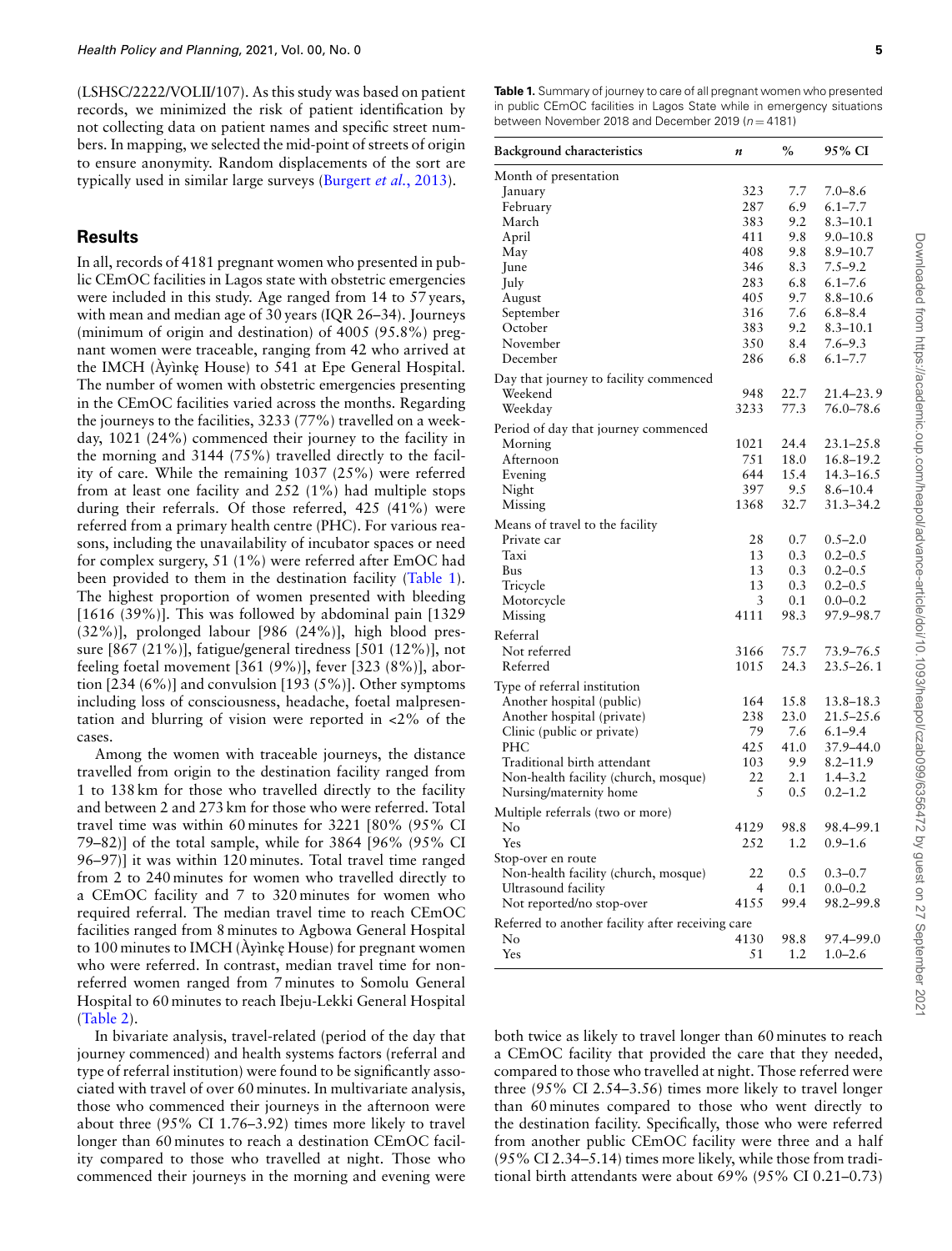(LSHSC/2222/VOLII/107). As this study was based on patient records, we minimized the risk of patient identification by not collecting data on patient names and specific street numbers. In mapping, we selected the mid-point of streets of origin to ensure anonymity. Random displacements of the sort are typically used in similar large surveys [\(Burgert](#page-10-9) *et al.*, 2013).

#### **Results**

In all, records of 4181 pregnant women who presented in public CEmOC facilities in Lagos state with obstetric emergencies were included in this study. Age ranged from 14 to 57 years, with mean and median age of 30 years (IQR 26–34). Journeys (minimum of origin and destination) of 4005 (95.8%) pregnant women were traceable, ranging from 42 who arrived at the IMCH (Ayinke House) to 541 at Epe General Hospital. The number of women with obstetric emergencies presenting in the CEmOC facilities varied across the months. Regarding the journeys to the facilities, 3233 (77%) travelled on a weekday, 1021 (24%) commenced their journey to the facility in the morning and 3144 (75%) travelled directly to the facility of care. While the remaining 1037 (25%) were referred from at least one facility and 252 (1%) had multiple stops during their referrals. Of those referred, 425 (41%) were referred from a primary health centre (PHC). For various reasons, including the unavailability of incubator spaces or need for complex surgery, 51 (1%) were referred after EmOC had been provided to them in the destination facility (Table 1). The highest proportion of women presented with bleeding [1616 (39%)]. This was followed by abdominal pain [1329 (32%)], prolonged labour [986 (24%)], high blood pressure [867 (21%)], fatigue/general tiredness [501 (12%)], not feeling foetal movement [361 (9%)], fever [323 (8%)], abortion  $[234 (6\%)]$  and convulsion  $[193 (5\%)]$ . Other symptoms including loss of consciousness, headache, foetal malpresentation and blurring of vision were reported in <2% of the cases.

Among the women with traceable journeys, the distance travelled from origin to the destination facility ranged from 1 to 138 km for those who travelled directly to the facility and between 2 and 273 km for those who were referred. Total travel time was within 60 minutes for 3221 [80% (95% CI 79–82)] of the total sample, while for 3864 [96% (95% CI 96–97)] it was within 120 minutes. Total travel time ranged from 2 to 240 minutes for women who travelled directly to a CEmOC facility and 7 to 320 minutes for women who required referral. The median travel time to reach CEmOC facilities ranged from 8 minutes to Agbowa General Hospital to 100 minutes to IMCH (Ayinke House) for pregnant women who were referred. In contrast, median travel time for nonreferred women ranged from 7 minutes to Somolu General Hospital to 60 minutes to reach Ibeju-Lekki General Hospital (Table 2).

In bivariate analysis, travel-related (period of the day that journey commenced) and health systems factors (referral and type of referral institution) were found to be significantly associated with travel of over 60 minutes. In multivariate analysis, those who commenced their journeys in the afternoon were about three (95% CI 1.76–3.92) times more likely to travel longer than 60 minutes to reach a destination CEmOC facility compared to those who travelled at night. Those who commenced their journeys in the morning and evening were

**Table 1.** Summary of journey to care of all pregnant women who presented in public CEmOC facilities in Lagos State while in emergency situations between November 2018 and December 2019 ( $n = 4181$ )

| <b>Background characteristics</b>                 | n    | $\%$ | 95% CI                     |
|---------------------------------------------------|------|------|----------------------------|
| Month of presentation                             |      |      |                            |
| January                                           | 323  | 7.7  | $7.0 - 8.6$                |
| February                                          | 287  | 6.9  | $6.1 - 7.7$                |
| March                                             | 383  | 9.2  | $8.3 - 10.1$               |
| April                                             | 411  | 9.8  | $9.0 - 10.8$               |
| May                                               | 408  | 9.8  | $8.9 - 10.7$               |
| June                                              | 346  | 8.3  | $7.5 - 9.2$                |
| July                                              | 283  | 6.8  | $6.1 - 7.6$                |
| August                                            | 405  | 9.7  | $8.8 - 10.6$               |
| September                                         | 316  | 7.6  | $6.8 - 8.4$                |
| October                                           | 383  | 9.2  | $8.3 - 10.1$               |
| November                                          | 350  | 8.4  | $7.6 - 9.3$                |
| December                                          | 286  | 6.8  | $6.1 - 7.7$                |
| Day that journey to facility commenced            |      |      |                            |
| Weekend                                           | 948  | 22.7 | $21.4 - 23.9$              |
| Weekday                                           | 3233 | 77.3 | 76.0-78.6                  |
| Period of day that journey commenced              |      |      |                            |
| Morning                                           | 1021 | 24.4 | $23.1 - 25.8$              |
| Afternoon                                         | 751  | 18.0 | 16.8-19.2                  |
| Evening                                           | 644  | 15.4 | $14.3 - 16.5$              |
| Night                                             | 397  | 9.5  | $8.6 - 10.4$               |
| Missing                                           | 1368 | 32.7 | 31.3-34.2                  |
| Means of travel to the facility                   |      |      |                            |
| Private car                                       | 28   | 0.7  | $0.5 - 2.0$                |
| Taxi                                              | 13   | 0.3  | $0.2 - 0.5$                |
| Bus                                               | 13   | 0.3  | $0.2 - 0.5$                |
| Tricycle                                          | 13   | 0.3  | $0.2 - 0.5$                |
| Motorcycle                                        | 3    | 0.1  | $0.0 - 0.2$                |
| Missing                                           | 4111 | 98.3 | 97.9–98.7                  |
| Referral                                          |      |      |                            |
| Not referred                                      | 3166 | 75.7 |                            |
| Referred                                          | 1015 | 24.3 | 73.9-76.5<br>$23.5 - 26.1$ |
|                                                   |      |      |                            |
| Type of referral institution                      |      |      |                            |
| Another hospital (public)                         | 164  | 15.8 | 13.8–18.3                  |
| Another hospital (private)                        | 238  | 23.0 | $21.5 - 25.6$              |
| Clinic (public or private)                        | 79   | 7.6  | $6.1 - 9.4$                |
| PHC                                               | 425  | 41.0 | 37.9-44.0                  |
| Traditional birth attendant                       | 103  | 9.9  | $8.2 - 11.9$               |
| Non-health facility (church, mosque)              | 22   | 2.1  | $1.4 - 3.2$                |
| Nursing/maternity home                            | 5    | 0.5  | $0.2 - 1.2$                |
| Multiple referrals (two or more)                  |      |      |                            |
| No                                                | 4129 | 98.8 | 98.4–99.1                  |
| Yes                                               | 252  | 1.2  | $0.9 - 1.6$                |
| Stop-over en route                                |      |      |                            |
| Non-health facility (church, mosque)              | 22   | 0.5  | $0.3 - 0.7$                |
| Ultrasound facility                               | 4    | 0.1  | $0.0 - 0.2$                |
| Not reported/no stop-over                         | 4155 | 99.4 | 98.2-99.8                  |
| Referred to another facility after receiving care |      |      |                            |
| No                                                | 4130 | 98.8 | 97.4-99.0                  |
| Yes                                               | 51   | 1.2  | $1.0 - 2.6$                |

both twice as likely to travel longer than 60 minutes to reach a CEmOC facility that provided the care that they needed, compared to those who travelled at night. Those referred were three (95% CI 2.54–3.56) times more likely to travel longer than 60 minutes compared to those who went directly to the destination facility. Specifically, those who were referred from another public CEmOC facility were three and a half (95% CI 2.34–5.14) times more likely, while those from traditional birth attendants were about 69% (95% CI 0.21–0.73)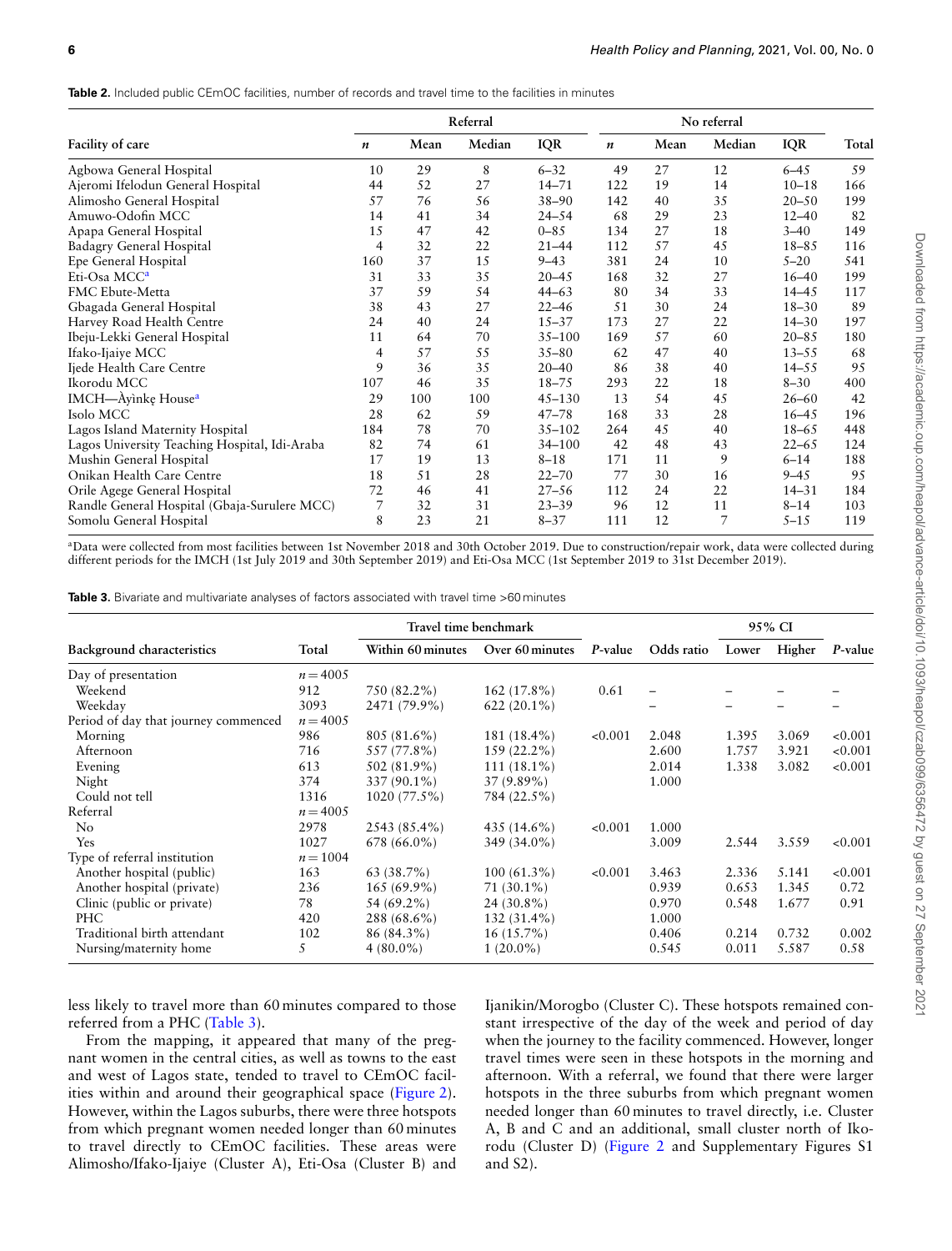Table 2. Included public CEmOC facilities, number of records and travel time to the facilities in minutes

|                                               | Referral         |      |        |            | No referral |      |        |            |       |
|-----------------------------------------------|------------------|------|--------|------------|-------------|------|--------|------------|-------|
| Facility of care                              | $\boldsymbol{n}$ | Mean | Median | <b>IQR</b> | n           | Mean | Median | <b>IQR</b> | Total |
| Agbowa General Hospital                       | 10               | 29   | 8      | $6 - 32$   | 49          | 27   | 12     | $6 - 4.5$  | 59    |
| Ajeromi Ifelodun General Hospital             | 44               | 52   | 27     | $14 - 71$  | 122         | 19   | 14     | $10 - 18$  | 166   |
| Alimosho General Hospital                     | 57               | 76   | 56     | $38 - 90$  | 142         | 40   | 35     | $20 - 50$  | 199   |
| Amuwo-Odofin MCC                              | 14               | 41   | 34     | $24 - 54$  | 68          | 29   | 23     | $12 - 40$  | 82    |
| Apapa General Hospital                        | 15               | 47   | 42     | $0 - 85$   | 134         | 27   | 18     | $3 - 40$   | 149   |
| Badagry General Hospital                      | 4                | 32   | 22     | $21 - 44$  | 112         | 57   | 45     | $18 - 85$  | 116   |
| Epe General Hospital                          | 160              | 37   | 15     | $9 - 43$   | 381         | 24   | 10     | $5 - 20$   | 541   |
| Eti-Osa MCC <sup>a</sup>                      | 31               | 33   | 35     | $20 - 45$  | 168         | 32   | 27     | $16 - 40$  | 199   |
| <b>FMC Ebute-Metta</b>                        | 37               | 59   | 54     | $44 - 63$  | 80          | 34   | 33     | $14 - 45$  | 117   |
| Gbagada General Hospital                      | 38               | 43   | 27     | $22 - 46$  | 51          | 30   | 24     | $18 - 30$  | 89    |
| Harvey Road Health Centre                     | 24               | 40   | 24     | $15 - 37$  | 173         | 27   | 22     | $14 - 30$  | 197   |
| Ibeju-Lekki General Hospital                  | 11               | 64   | 70     | $35 - 100$ | 169         | 57   | 60     | $20 - 85$  | 180   |
| Ifako-Ijaiye MCC                              | 4                | 57   | 55     | $35 - 80$  | 62          | 47   | 40     | $13 - 55$  | 68    |
| Ijede Health Care Centre                      | 9                | 36   | 35     | $20 - 40$  | 86          | 38   | 40     | $14 - 55$  | 95    |
| Ikorodu MCC                                   | 107              | 46   | 35     | $18 - 75$  | 293         | 22   | 18     | $8 - 30$   | 400   |
| IMCH-Ayinkę House <sup>a</sup>                | 29               | 100  | 100    | $45 - 130$ | 13          | 54   | 45     | $26 - 60$  | 42    |
| Isolo MCC                                     | 28               | 62   | 59     | $47 - 78$  | 168         | 33   | 28     | $16 - 45$  | 196   |
| Lagos Island Maternity Hospital               | 184              | 78   | 70     | $35 - 102$ | 264         | 45   | 40     | $18 - 65$  | 448   |
| Lagos University Teaching Hospital, Idi-Araba | 82               | 74   | 61     | $34 - 100$ | 42          | 48   | 43     | $22 - 65$  | 124   |
| Mushin General Hospital                       | 17               | 19   | 13     | $8 - 18$   | 171         | 11   | 9      | $6 - 14$   | 188   |
| Onikan Health Care Centre                     | 18               | 51   | 28     | $22 - 70$  | 77          | 30   | 16     | $9 - 45$   | 95    |
| Orile Agege General Hospital                  | 72               | 46   | 41     | $27 - 56$  | 112         | 24   | 22     | $14 - 31$  | 184   |
| Randle General Hospital (Gbaja-Surulere MCC)  | 7                | 32   | 31     | $23 - 39$  | 96          | 12   | 11     | $8 - 14$   | 103   |
| Somolu General Hospital                       | 8                | 23   | 21     | $8 - 37$   | 111         | 12   | 7      | $5 - 15$   | 119   |

<span id="page-5-0"></span><sup>a</sup>Data were collected from most facilities between 1st November 2018 and 30th October 2019. Due to construction/repair work, data were collected during different periods for the IMCH (1st July 2019 and 30th September 2019) and Eti-Osa MCC (1st September 2019 to 31st December 2019).

**Table 3.** Bivariate and multivariate analyses of factors associated with travel time >60 minutes

|                                      |            | Travel time benchmark |                 |         | 95% CI                   |       |        |         |
|--------------------------------------|------------|-----------------------|-----------------|---------|--------------------------|-------|--------|---------|
| Background characteristics           | Total      | Within 60 minutes     | Over 60 minutes | P-value | Odds ratio               | Lower | Higher | P-value |
| Day of presentation                  | $n = 4005$ |                       |                 |         |                          |       |        |         |
| Weekend                              | 912        | 750 (82.2%)           | 162 (17.8%)     | 0.61    | $\overline{\phantom{0}}$ |       |        |         |
| Weekday                              | 3093       | 2471 (79.9%)          | $622(20.1\%)$   |         |                          |       |        |         |
| Period of day that journey commenced | $n = 4005$ |                       |                 |         |                          |       |        |         |
| Morning                              | 986        | 805 (81.6%)           | 181 (18.4%)     | < 0.001 | 2.048                    | 1.395 | 3.069  | < 0.001 |
| Afternoon                            | 716        | 557 (77.8%)           | 159 (22.2%)     |         | 2.600                    | 1.757 | 3.921  | < 0.001 |
| Evening                              | 613        | 502 (81.9%)           | $111(18.1\%)$   |         | 2.014                    | 1.338 | 3.082  | < 0.001 |
| Night                                | 374        | 337 (90.1%)           | $37(9.89\%)$    |         | 1.000                    |       |        |         |
| Could not tell                       | 1316       | 1020 (77.5%)          | 784 (22.5%)     |         |                          |       |        |         |
| Referral                             | $n = 4005$ |                       |                 |         |                          |       |        |         |
| N <sub>o</sub>                       | 2978       | 2543 (85.4%)          | 435 $(14.6\%)$  | < 0.001 | 1.000                    |       |        |         |
| <b>Yes</b>                           | 1027       | 678 (66.0%)           | 349 (34.0%)     |         | 3.009                    | 2.544 | 3.559  | < 0.001 |
| Type of referral institution         | $n = 1004$ |                       |                 |         |                          |       |        |         |
| Another hospital (public)            | 163        | $63(38.7\%)$          | $100(61.3\%)$   | < 0.001 | 3.463                    | 2.336 | 5.141  | < 0.001 |
| Another hospital (private)           | 236        | $165(69.9\%)$         | $71(30.1\%)$    |         | 0.939                    | 0.653 | 1.345  | 0.72    |
| Clinic (public or private)           | 78         | 54 (69.2%)            | 24 (30.8%)      |         | 0.970                    | 0.548 | 1.677  | 0.91    |
| PHC                                  | 420        | 288 (68.6%)           | 132 (31.4%)     |         | 1.000                    |       |        |         |
| Traditional birth attendant          | 102        | 86 (84.3%)            | $16(15.7\%)$    |         | 0.406                    | 0.214 | 0.732  | 0.002   |
| Nursing/maternity home               | 5          | $4(80.0\%)$           | $1(20.0\%)$     |         | 0.545                    | 0.011 | 5.587  | 0.58    |

less likely to travel more than 60 minutes compared to those referred from a PHC (Table 3).

From the mapping, it appeared that many of the pregnant women in the central cities, as well as towns to the east and west of Lagos state, tended to travel to CEmOC facilities within and around their geographical space [\(Figure 2\)](#page-6-0). However, within the Lagos suburbs, there were three hotspots from which pregnant women needed longer than 60 minutes to travel directly to CEmOC facilities. These areas were Alimosho/Ifako-Ijaiye (Cluster A), Eti-Osa (Cluster B) and

Ijanikin/Morogbo (Cluster C). These hotspots remained constant irrespective of the day of the week and period of day when the journey to the facility commenced. However, longer travel times were seen in these hotspots in the morning and afternoon. With a referral, we found that there were larger hotspots in the three suburbs from which pregnant women needed longer than 60 minutes to travel directly, i.e. Cluster A, B and C and an additional, small cluster north of Ikorodu (Cluster D) [\(Figure 2](#page-6-0) and Supplementary Figures S1 and S2).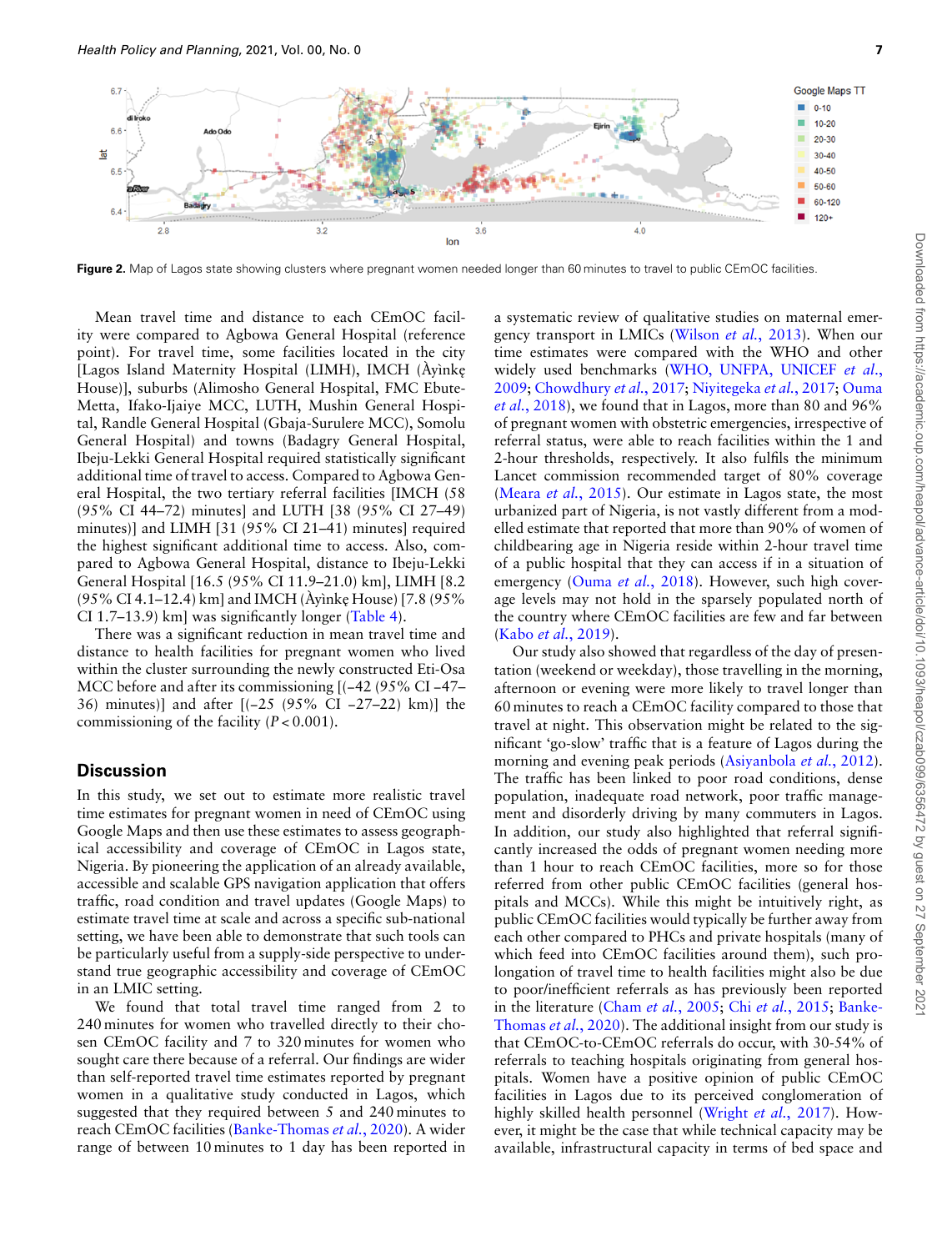<span id="page-6-0"></span>

Figure 2. Map of Lagos state showing clusters where pregnant women needed longer than 60 minutes to travel to public CEmOC facilities.

Mean travel time and distance to each CEmOC facility were compared to Agbowa General Hospital (reference point). For travel time, some facilities located in the city [Lagos Island Maternity Hospital (LIMH), IMCH (Àyìnke˛ House)], suburbs (Alimosho General Hospital, FMC Ebute-Metta, Ifako-Ijaiye MCC, LUTH, Mushin General Hospital, Randle General Hospital (Gbaja-Surulere MCC), Somolu General Hospital) and towns (Badagry General Hospital, Ibeju-Lekki General Hospital required statistically significant additional time of travel to access. Compared to Agbowa General Hospital, the two tertiary referral facilities [IMCH (58 (95% CI 44–72) minutes] and LUTH [38 (95% CI 27–49) minutes)] and LIMH [31 (95% CI 21–41) minutes] required the highest significant additional time to access. Also, compared to Agbowa General Hospital, distance to Ibeju-Lekki General Hospital [16.5 (95% CI 11.9–21.0) km], LIMH [8.2 (95% CI 4.1–12.4) km] and IMCH (Ayinke House) [7.8 (95%) CI 1.7–13.9) km] was significantly longer (Table 4).

There was a significant reduction in mean travel time and distance to health facilities for pregnant women who lived within the cluster surrounding the newly constructed Eti-Osa MCC before and after its commissioning [(−42 (95% CI −47– 36) minutes)] and after [(−25 (95% CI −27–22) km)] the commissioning of the facility (*P* < 0.001).

## **Discussion**

In this study, we set out to estimate more realistic travel time estimates for pregnant women in need of CEmOC using Google Maps and then use these estimates to assess geographical accessibility and coverage of CEmOC in Lagos state, Nigeria. By pioneering the application of an already available, accessible and scalable GPS navigation application that offers traffic, road condition and travel updates (Google Maps) to estimate travel time at scale and across a specific sub-national setting, we have been able to demonstrate that such tools can be particularly useful from a supply-side perspective to understand true geographic accessibility and coverage of CEmOC in an LMIC setting.

We found that total travel time ranged from 2 to 240 minutes for women who travelled directly to their chosen CEmOC facility and 7 to 320 minutes for women who sought care there because of a referral. Our findings are wider than self-reported travel time estimates reported by pregnant women in a qualitative study conducted in Lagos, which suggested that they required between 5 and 240 minutes to reach CEmOC facilities([Banke-Thomas](#page-10-1) *et al.*, 2020). A wider range of between 10 minutes to 1 day has been reported in

a systematic review of qualitative studies on maternal emergency transport in LMICs [\(Wilson](#page-12-3) *et al.*, 2013). When our time estimates were compared with the WHO and other widely used benchmarks([WHO, UNFPA, UNICEF](#page-12-1) *et al*., [2009;](#page-12-1) [Chowdhury](#page-11-8) *et al.*, 2017; [Niyitegeka](#page-11-27) *et al.*, 2017; [Ouma](#page-11-28) *et al.*[, 2018](#page-11-28)), we found that in Lagos, more than 80 and 96% of pregnant women with obstetric emergencies, irrespective of referral status, were able to reach facilities within the 1 and 2-hour thresholds, respectively. It also fulfils the minimum Lancet commission recommended target of 80% coverage (Meara *et al.*[, 2015](#page-11-4)). Our estimate in Lagos state, the most urbanized part of Nigeria, is not vastly different from a modelled estimate that reported that more than 90% of women of childbearing age in Nigeria reside within 2-hour travel time of a public hospital that they can access if in a situation of emergency (Ouma *et al.*[, 2018](#page-11-28)). However, such high coverage levels may not hold in the sparsely populated north of the country where CEmOC facilities are few and far between (Kabo *et al.*[, 2019\)](#page-11-29).

Our study also showed that regardless of the day of presentation (weekend or weekday), those travelling in the morning, afternoon or evening were more likely to travel longer than 60 minutes to reach a CEmOC facility compared to those that travel at night. This observation might be related to the significant 'go-slow' traffic that is a feature of Lagos during the morning and evening peak periods([Asiyanbola](#page-10-7) *et al.*, 2012). The traffic has been linked to poor road conditions, dense population, inadequate road network, poor traffic management and disorderly driving by many commuters in Lagos. In addition, our study also highlighted that referral significantly increased the odds of pregnant women needing more than 1 hour to reach CEmOC facilities, more so for those referred from other public CEmOC facilities (general hospitals and MCCs). While this might be intuitively right, as public CEmOC facilities would typically be further away from each other compared to PHCs and private hospitals (many of which feed into CEmOC facilities around them), such prolongation of travel time to health facilities might also be due to poor/inefficient referrals as has previously been reported in the literature (Cham *et al.*[, 2005](#page-10-10); Chi *et al.*[, 2015](#page-10-11); [Banke-](#page-10-1)[Thomas](#page-10-1) *et al.*, 2020). The additional insight from our study is that CEmOC-to-CEmOC referrals do occur, with 30-54% of referrals to teaching hospitals originating from general hospitals. Women have a positive opinion of public CEmOC facilities in Lagos due to its perceived conglomeration of highly skilled health personnel [\(Wright](#page-12-6) *et al.*, 2017). However, it might be the case that while technical capacity may be available, infrastructural capacity in terms of bed space and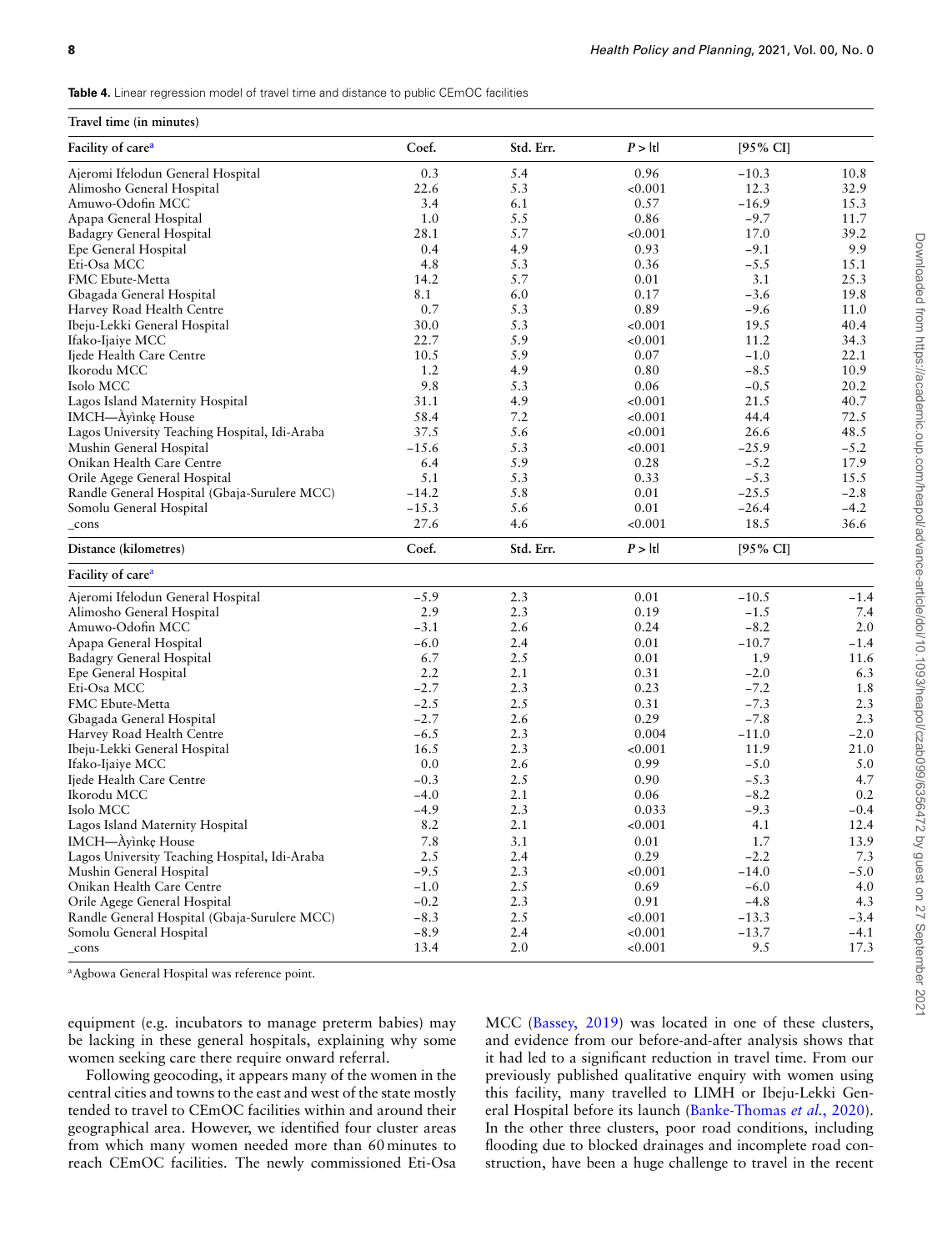**Table 4.** Linear regression model of travel time and distance to public CEmOC facilities

#### **Travel time (in minutes)**

| 11avel 11111e (111 1111111111e)               |         |           |         |          |        |  |
|-----------------------------------------------|---------|-----------|---------|----------|--------|--|
| Facility of care <sup>a</sup>                 | Coef.   | Std. Err. | P >  t  | [95% CI] |        |  |
| Ajeromi Ifelodun General Hospital             | 0.3     | 5.4       | 0.96    | $-10.3$  | 10.8   |  |
| Alimosho General Hospital                     | 22.6    | 5.3       | < 0.001 | 12.3     | 32.9   |  |
| Amuwo-Odofin MCC                              | 3.4     | 6.1       | 0.57    | $-16.9$  | 15.3   |  |
| Apapa General Hospital                        | 1.0     | 5.5       | 0.86    | $-9.7$   | 11.7   |  |
| Badagry General Hospital                      | 28.1    | 5.7       | < 0.001 | 17.0     | 39.2   |  |
| Epe General Hospital                          | 0.4     | 4.9       | 0.93    | $-9.1$   | 9.9    |  |
| Eti-Osa MCC                                   | 4.8     | 5.3       | 0.36    | $-5.5$   | 15.1   |  |
| FMC Ebute-Metta                               | 14.2    | 5.7       | 0.01    | 3.1      | 25.3   |  |
| Gbagada General Hospital                      | 8.1     | 6.0       | 0.17    | $-3.6$   | 19.8   |  |
| Harvey Road Health Centre                     | 0.7     | 5.3       | 0.89    | $-9.6$   | 11.0   |  |
| Ibeju-Lekki General Hospital                  | 30.0    | 5.3       | < 0.001 | 19.5     | 40.4   |  |
| Ifako-Ijaiye MCC                              | 22.7    | 5.9       | < 0.001 | 11.2     | 34.3   |  |
| Ijede Health Care Centre                      | 10.5    | 5.9       | 0.07    | $-1.0$   | 22.1   |  |
| Ikorodu MCC                                   | 1.2     | 4.9       | 0.80    | $-8.5$   | 10.9   |  |
| Isolo MCC                                     | 9.8     | 5.3       | 0.06    | $-0.5$   | 20.2   |  |
| Lagos Island Maternity Hospital               | 31.1    | 4.9       | < 0.001 | 21.5     | 40.7   |  |
| <b>IMCH-Ayinke House</b>                      | 58.4    | 7.2       | < 0.001 | 44.4     | 72.5   |  |
| Lagos University Teaching Hospital, Idi-Araba | 37.5    | 5.6       | < 0.001 | 26.6     | 48.5   |  |
| Mushin General Hospital                       | $-15.6$ | 5.3       | < 0.001 | $-25.9$  | $-5.2$ |  |
| Onikan Health Care Centre                     | 6.4     | 5.9       | 0.28    | $-5.2$   | 17.9   |  |
| Orile Agege General Hospital                  | 5.1     | 5.3       | 0.33    | $-5.3$   | 15.5   |  |
| Randle General Hospital (Gbaja-Surulere MCC)  | $-14.2$ | 5.8       | 0.01    | $-25.5$  | $-2.8$ |  |
| Somolu General Hospital                       | $-15.3$ | 5.6       | 0.01    | $-26.4$  | $-4.2$ |  |
| _cons                                         | 27.6    | 4.6       | < 0.001 | 18.5     | 36.6   |  |
| Distance (kilometres)                         | Coef.   | Std. Err. | P >  t  | [95% CI] |        |  |
| Facility of care <sup>a</sup>                 |         |           |         |          |        |  |
| Ajeromi Ifelodun General Hospital             | $-5.9$  | 2.3       | 0.01    | $-10.5$  | $-1.4$ |  |
| Alimosho General Hospital                     | 2.9     | 2.3       | 0.19    | $-1.5$   | 7.4    |  |
| Amuwo-Odofin MCC                              | $-3.1$  | 2.6       | 0.24    | $-8.2$   | 2.0    |  |
| Apapa General Hospital                        | $-6.0$  | 2.4       | 0.01    | $-10.7$  | $-1.4$ |  |
| Badagry General Hospital                      | 6.7     | 2.5       | 0.01    | 1.9      | 11.6   |  |
| Epe General Hospital                          | 2.2     | 2.1       | 0.31    | $-2.0$   | 6.3    |  |
| Eti-Osa MCC                                   | $-2.7$  | 2.3       | 0.23    | $-7.2$   | 1.8    |  |
| FMC Ebute-Metta                               | $-2.5$  | 2.5       | 0.31    | $-7.3$   | 2.3    |  |
| Gbagada General Hospital                      | $-2.7$  | 2.6       | 0.29    | $-7.8$   | 2.3    |  |
| Harvey Road Health Centre                     | $-6.5$  | 2.3       | 0.004   | $-11.0$  | $-2.0$ |  |
| Ibeju-Lekki General Hospital                  | 16.5    | 2.3       | < 0.001 | 11.9     | 21.0   |  |
| Ifako-Ijaiye MCC                              | 0.0     | 2.6       | 0.99    | $-5.0$   | 5.0    |  |
| Ijede Health Care Centre                      | $-0.3$  | 2.5       | 0.90    | $-5.3$   | 4.7    |  |
| Ikorodu MCC                                   | $-4.0$  | 2.1       | 0.06    | $-8.2$   | 0.2    |  |
| Isolo MCC                                     | $-4.9$  | 2.3       | 0.033   | $-9.3$   | $-0.4$ |  |
| Lagos Island Maternity Hospital               | 8.2     | 2.1       | < 0.001 | 4.1      | 12.4   |  |
| IMCH-Ayinke House                             | 7.8     | 3.1       | 0.01    | 1.7      | 13.9   |  |
| Lagos University Teaching Hospital, Idi-Araba | 2.5     | 2.4       | 0.29    | $-2.2$   | 7.3    |  |
| Mushin General Hospital                       | $-9.5$  | 2.3       | < 0.001 | $-14.0$  | $-5.0$ |  |
| Onikan Health Care Centre                     | $-1.0$  | 2.5       | 0.69    | $-6.0$   | 4.0    |  |
| Orile Agege General Hospital                  | $-0.2$  | 2.3       | 0.91    | $-4.8$   | 4.3    |  |
| Randle General Hospital (Gbaja-Surulere MCC)  | $-8.3$  | 2.5       | < 0.001 | $-13.3$  | $-3.4$ |  |
| Somolu General Hospital                       | $-8.9$  | 2.4       | < 0.001 | $-13.7$  | $-4.1$ |  |
| _cons                                         | 13.4    | 2.0       | < 0.001 | 9.5      | 17.3   |  |
|                                               |         |           |         |          |        |  |

<span id="page-7-0"></span><sup>a</sup>Agbowa General Hospital was reference point.

equipment (e.g. incubators to manage preterm babies) may be lacking in these general hospitals, explaining why some women seeking care there require onward referral.

Following geocoding, it appears many of the women in the central cities and towns to the east and west of the state mostly tended to travel to CEmOC facilities within and around their geographical area. However, we identified four cluster areas from which many women needed more than 60 minutes to reach CEmOC facilities. The newly commissioned Eti-Osa

MCC([Bassey, 2019](#page-10-6)) was located in one of these clusters, and evidence from our before-and-after analysis shows that it had led to a significant reduction in travel time. From our previously published qualitative enquiry with women using this facility, many travelled to LIMH or Ibeju-Lekki General Hospital before its launch([Banke-Thomas](#page-10-1) *et al.*, 2020). In the other three clusters, poor road conditions, including flooding due to blocked drainages and incomplete road construction, have been a huge challenge to travel in the recent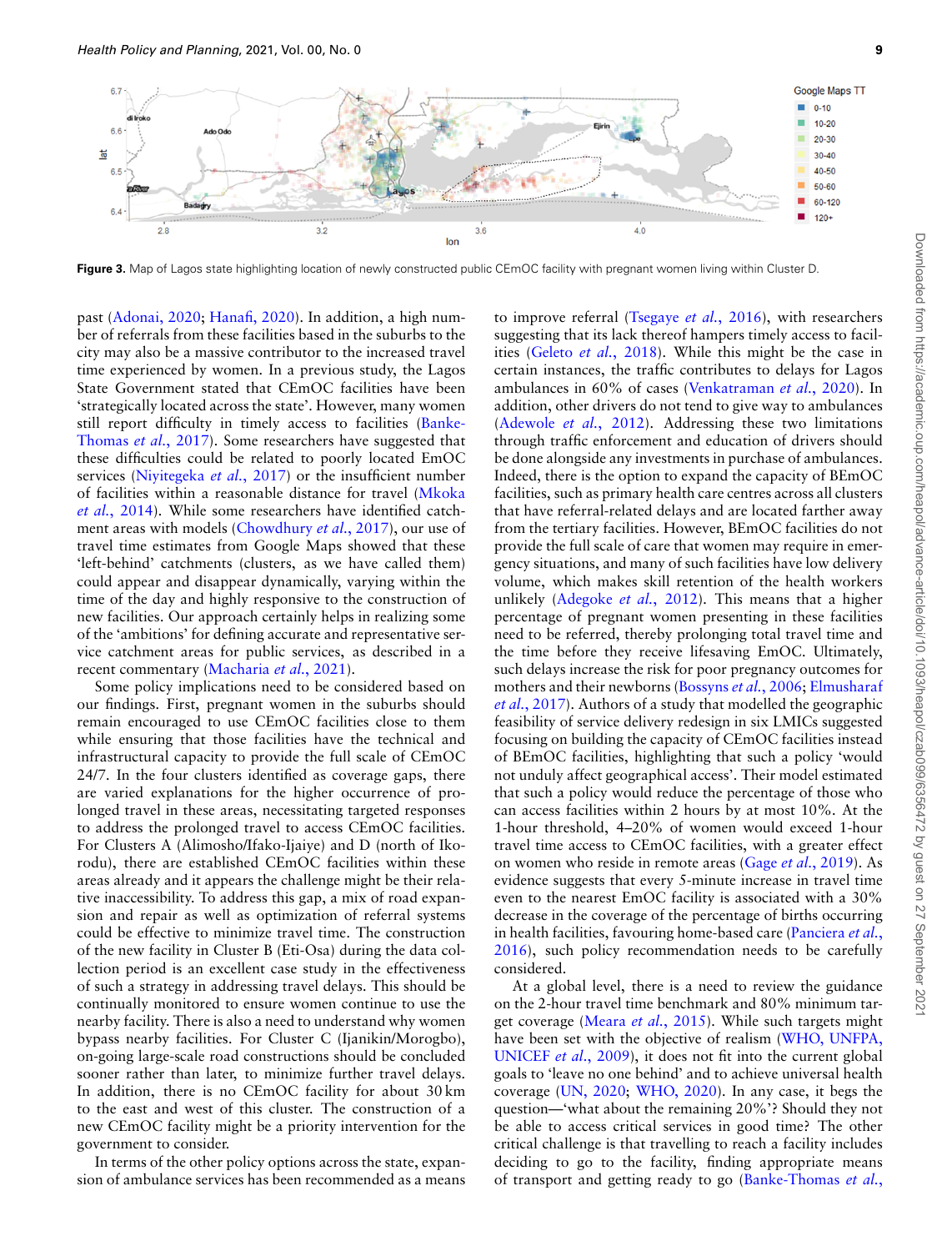

**Figure 3.** Map of Lagos state highlighting location of newly constructed public CEmOC facility with pregnant women living within Cluster D.

past [\(Adonai, 2020;](#page-10-12) [Hanafi, 2020](#page-11-30)). In addition, a high number of referrals from these facilities based in the suburbs to the city may also be a massive contributor to the increased travel time experienced by women. In a previous study, the Lagos State Government stated that CEmOC facilities have been 'strategically located across the state'. However, many women still report difficulty in timely access to facilities([Banke-](#page-10-13)[Thomas](#page-10-13) *et al.*, 2017). Some researchers have suggested that these difficulties could be related to poorly located EmOC services([Niyitegeka](#page-11-27) *et al.*, 2017) or the insufficient number of facilities within a reasonable distance for travel([Mkoka](#page-11-31) *et al.*[, 2014\)](#page-11-31). While some researchers have identified catchment areas with models([Chowdhury](#page-11-8) *et al.*, 2017), our use of travel time estimates from Google Maps showed that these 'left-behind' catchments (clusters, as we have called them) could appear and disappear dynamically, varying within the time of the day and highly responsive to the construction of new facilities. Our approach certainly helps in realizing some of the 'ambitions' for defining accurate and representative service catchment areas for public services, as described in a recent commentary [\(Macharia](#page-11-32) *et al.*, 2021).

Some policy implications need to be considered based on our findings. First, pregnant women in the suburbs should remain encouraged to use CEmOC facilities close to them while ensuring that those facilities have the technical and infrastructural capacity to provide the full scale of CEmOC 24/7. In the four clusters identified as coverage gaps, there are varied explanations for the higher occurrence of prolonged travel in these areas, necessitating targeted responses to address the prolonged travel to access CEmOC facilities. For Clusters A (Alimosho/Ifako-Ijaiye) and D (north of Ikorodu), there are established CEmOC facilities within these areas already and it appears the challenge might be their relative inaccessibility. To address this gap, a mix of road expansion and repair as well as optimization of referral systems could be effective to minimize travel time. The construction of the new facility in Cluster B (Eti-Osa) during the data collection period is an excellent case study in the effectiveness of such a strategy in addressing travel delays. This should be continually monitored to ensure women continue to use the nearby facility. There is also a need to understand why women bypass nearby facilities. For Cluster C (Ijanikin/Morogbo), on-going large-scale road constructions should be concluded sooner rather than later, to minimize further travel delays. In addition, there is no CEmOC facility for about 30 km to the east and west of this cluster. The construction of a new CEmOC facility might be a priority intervention for the government to consider.

In terms of the other policy options across the state, expansion of ambulance services has been recommended as a means

to improve referral([Tsegaye](#page-11-33) *et al.*, 2016), with researchers suggesting that its lack thereof hampers timely access to facilities (Geleto *et al.*[, 2018](#page-11-25)). While this might be the case in certain instances, the traffic contributes to delays for Lagos ambulances in 60% of cases([Venkatraman](#page-12-7) *et al.*, 2020). In addition, other drivers do not tend to give way to ambulances [\(Adewole](#page-10-14) *et al.*, 2012). Addressing these two limitations through traffic enforcement and education of drivers should be done alongside any investments in purchase of ambulances. Indeed, there is the option to expand the capacity of BEmOC facilities, such as primary health care centres across all clusters that have referral-related delays and are located farther away from the tertiary facilities. However, BEmOC facilities do not provide the full scale of care that women may require in emergency situations, and many of such facilities have low delivery volume, which makes skill retention of the health workers unlikely [\(Adegoke](#page-10-15) *et al.*, 2012). This means that a higher percentage of pregnant women presenting in these facilities need to be referred, thereby prolonging total travel time and the time before they receive lifesaving EmOC. Ultimately, such delays increase the risk for poor pregnancy outcomes for mothers and their newborns([Bossyns](#page-10-16) *et al.*, 2006; [Elmusharaf](#page-11-34) *et al.*[, 2017\)](#page-11-34). Authors of a study that modelled the geographic feasibility of service delivery redesign in six LMICs suggested focusing on building the capacity of CEmOC facilities instead of BEmOC facilities, highlighting that such a policy 'would not unduly affect geographical access'. Their model estimated that such a policy would reduce the percentage of those who can access facilities within 2 hours by at most 10%. At the 1-hour threshold, 4–20% of women would exceed 1-hour travel time access to CEmOC facilities, with a greater effect on women who reside in remote areas (Gage *et al.*[, 2019\)](#page-11-35). As evidence suggests that every 5-minute increase in travel time even to the nearest EmOC facility is associated with a 30% decrease in the coverage of the percentage of births occurring in health facilities, favouring home-based care([Panciera](#page-11-36) *et al.*, [2016\)](#page-11-36), such policy recommendation needs to be carefully considered.

At a global level, there is a need to review the guidance on the 2-hour travel time benchmark and 80% minimum target coverage (Meara *et al.*[, 2015\)](#page-11-4). While such targets might have been set with the objective of realism([WHO, UNFPA,](#page-12-1) [UNICEF](#page-12-1) *et al*., 2009), it does not fit into the current global goals to 'leave no one behind' and to achieve universal health coverage([UN, 2020;](#page-11-37) [WHO, 2020\)](#page-12-8). In any case, it begs the question—'what about the remaining 20%'? Should they not be able to access critical services in good time? The other critical challenge is that travelling to reach a facility includes deciding to go to the facility, finding appropriate means of transport and getting ready to go [\(Banke-Thomas](#page-10-1) *et al.*,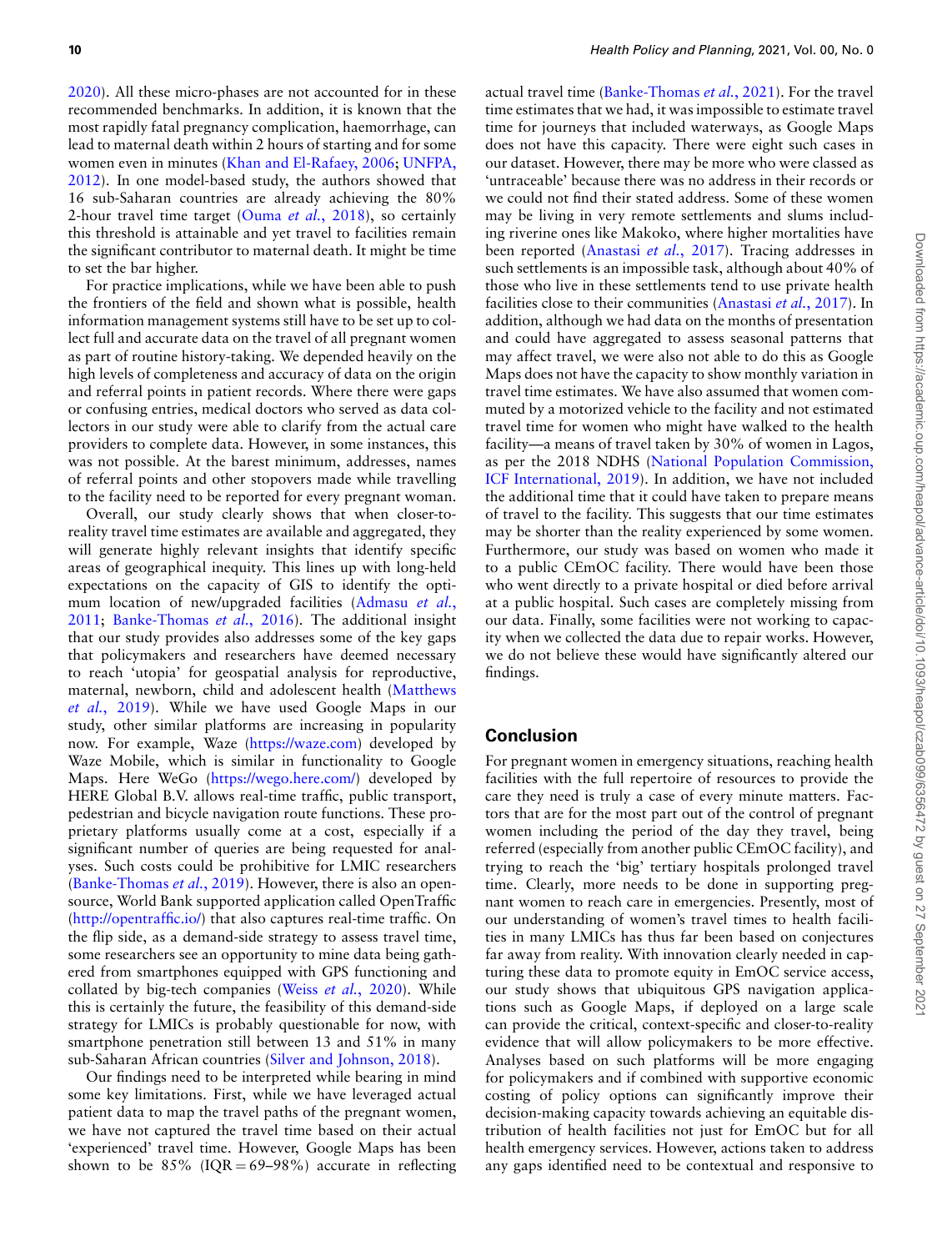2020). All these micro-phases are not accounted for in these recommended benchmarks. In addition, it is known that the most rapidly fatal pregnancy complication, haemorrhage, can lead to maternal death within 2 hours of starting and for some women even in minutes([Khan and El-Rafaey, 2006](#page-11-5); [UNFPA,](#page-11-6) [2012](#page-11-6)). In one model-based study, the authors showed that 16 sub-Saharan countries are already achieving the 80% 2-hour travel time target (Ouma *et al.*[, 2018\)](#page-11-28), so certainly this threshold is attainable and yet travel to facilities remain the significant contributor to maternal death. It might be time to set the bar higher.

For practice implications, while we have been able to push the frontiers of the field and shown what is possible, health information management systems still have to be set up to collect full and accurate data on the travel of all pregnant women as part of routine history-taking. We depended heavily on the high levels of completeness and accuracy of data on the origin and referral points in patient records. Where there were gaps or confusing entries, medical doctors who served as data collectors in our study were able to clarify from the actual care providers to complete data. However, in some instances, this was not possible. At the barest minimum, addresses, names of referral points and other stopovers made while travelling to the facility need to be reported for every pregnant woman.

Overall, our study clearly shows that when closer-toreality travel time estimates are available and aggregated, they will generate highly relevant insights that identify specific areas of geographical inequity. This lines up with long-held expectations on the capacity of GIS to identify the optimum location of new/upgraded facilities([Admasu](#page-10-17) *et al.*, [2011](#page-10-17); [Banke-Thomas](#page-10-18) *et al.*, 2016). The additional insight that our study provides also addresses some of the key gaps that policymakers and researchers have deemed necessary to reach 'utopia' for geospatial analysis for reproductive, maternal, newborn, child and adolescent health([Matthews](#page-11-38) *et al.*[, 2019\)](#page-11-38). While we have used Google Maps in our study, other similar platforms are increasing in popularity now. For example, Waze [\(https://waze.com\)](https://waze.com) developed by Waze Mobile, which is similar in functionality to Google Maps. Here WeGo(<https://wego.here.com/>) developed by HERE Global B.V. allows real-time traffic, public transport, pedestrian and bicycle navigation route functions. These proprietary platforms usually come at a cost, especially if a significant number of queries are being requested for analyses. Such costs could be prohibitive for LMIC researchers ([Banke-Thomas](#page-10-3) *et al.*, 2019). However, there is also an opensource, World Bank supported application called OpenTraffic ([http://opentraffic.io/\)](http://opentraffic.io/) that also captures real-time traffic. On the flip side, as a demand-side strategy to assess travel time, some researchers see an opportunity to mine data being gathered from smartphones equipped with GPS functioning and collated by big-tech companies (Weiss *et al.*[, 2020\)](#page-12-9). While this is certainly the future, the feasibility of this demand-side strategy for LMICs is probably questionable for now, with smartphone penetration still between 13 and 51% in many sub-Saharan African countries([Silver and Johnson, 2018\)](#page-11-39).

Our findings need to be interpreted while bearing in mind some key limitations. First, while we have leveraged actual patient data to map the travel paths of the pregnant women, we have not captured the travel time based on their actual 'experienced' travel time. However, Google Maps has been shown to be  $85\%$  (IQR = 69-98%) accurate in reflecting

actual travel time([Banke-Thomas](#page-10-5) *et al.*, 2021). For the travel time estimates that we had, it was impossible to estimate travel time for journeys that included waterways, as Google Maps does not have this capacity. There were eight such cases in our dataset. However, there may be more who were classed as 'untraceable' because there was no address in their records or we could not find their stated address. Some of these women may be living in very remote settlements and slums including riverine ones like Makoko, where higher mortalities have been reported([Anastasi](#page-10-19) *et al.*, 2017). Tracing addresses in such settlements is an impossible task, although about 40% of those who live in these settlements tend to use private health facilities close to their communities([Anastasi](#page-10-19) *et al.*, 2017). In addition, although we had data on the months of presentation and could have aggregated to assess seasonal patterns that may affect travel, we were also not able to do this as Google Maps does not have the capacity to show monthly variation in travel time estimates. We have also assumed that women commuted by a motorized vehicle to the facility and not estimated travel time for women who might have walked to the health facility—a means of travel taken by 30% of women in Lagos, as per the 2018 NDHS [\(National Population Commission,](#page-11-18) [ICF International, 2019](#page-11-18)). In addition, we have not included the additional time that it could have taken to prepare means of travel to the facility. This suggests that our time estimates may be shorter than the reality experienced by some women. Furthermore, our study was based on women who made it to a public CEmOC facility. There would have been those who went directly to a private hospital or died before arrival at a public hospital. Such cases are completely missing from our data. Finally, some facilities were not working to capacity when we collected the data due to repair works. However, we do not believe these would have significantly altered our findings.

## **Conclusion**

For pregnant women in emergency situations, reaching health facilities with the full repertoire of resources to provide the care they need is truly a case of every minute matters. Factors that are for the most part out of the control of pregnant women including the period of the day they travel, being referred (especially from another public CEmOC facility), and trying to reach the 'big' tertiary hospitals prolonged travel time. Clearly, more needs to be done in supporting pregnant women to reach care in emergencies. Presently, most of our understanding of women's travel times to health facilities in many LMICs has thus far been based on conjectures far away from reality. With innovation clearly needed in capturing these data to promote equity in EmOC service access, our study shows that ubiquitous GPS navigation applications such as Google Maps, if deployed on a large scale can provide the critical, context-specific and closer-to-reality evidence that will allow policymakers to be more effective. Analyses based on such platforms will be more engaging for policymakers and if combined with supportive economic costing of policy options can significantly improve their decision-making capacity towards achieving an equitable distribution of health facilities not just for EmOC but for all health emergency services. However, actions taken to address any gaps identified need to be contextual and responsive to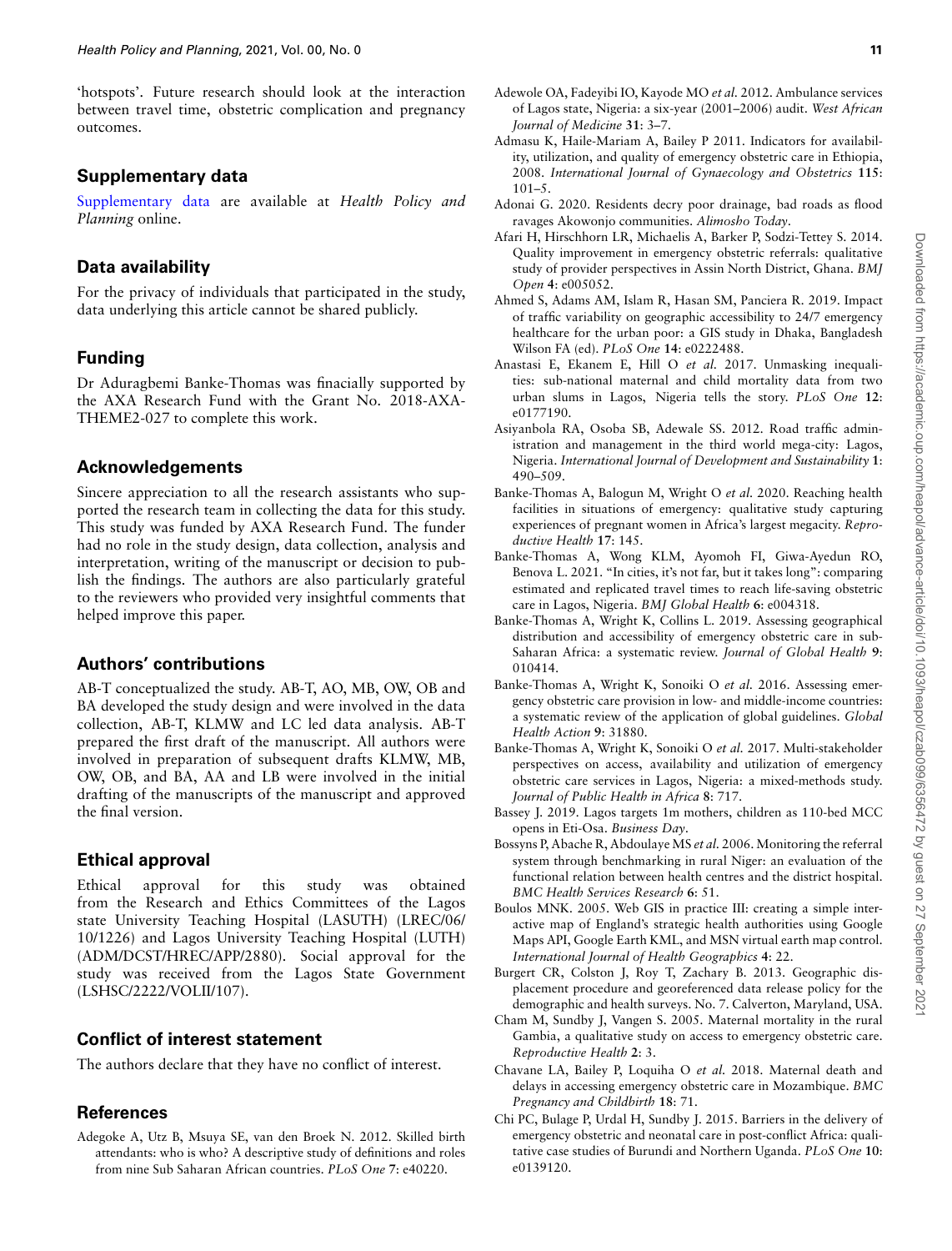'hotspots'. Future research should look at the interaction between travel time, obstetric complication and pregnancy outcomes.

## **Supplementary data**

[Supplementary data](https://academic.oup.com/heapol/article-lookup/doi/https://doi.org/10.1093/heapol/czab099#supplementary-data) are available at *Health Policy and Planning* online.

## **Data availability**

For the privacy of individuals that participated in the study, data underlying this article cannot be shared publicly.

## **Funding**

Dr Aduragbemi Banke-Thomas was finacially supported by the AXA Research Fund with the Grant No. 2018-AXA-THEME2-027 to complete this work.

## **Acknowledgements**

Sincere appreciation to all the research assistants who supported the research team in collecting the data for this study. This study was funded by AXA Research Fund. The funder had no role in the study design, data collection, analysis and interpretation, writing of the manuscript or decision to publish the findings. The authors are also particularly grateful to the reviewers who provided very insightful comments that helped improve this paper.

## **Authors' contributions**

AB-T conceptualized the study. AB-T, AO, MB, OW, OB and BA developed the study design and were involved in the data collection, AB-T, KLMW and LC led data analysis. AB-T prepared the first draft of the manuscript. All authors were involved in preparation of subsequent drafts KLMW, MB, OW, OB, and BA, AA and LB were involved in the initial drafting of the manuscripts of the manuscript and approved the final version.

## **Ethical approval**

Ethical approval for this study was obtained from the Research and Ethics Committees of the Lagos state University Teaching Hospital (LASUTH) (LREC/06/ 10/1226) and Lagos University Teaching Hospital (LUTH) (ADM/DCST/HREC/APP/2880). Social approval for the study was received from the Lagos State Government (LSHSC/2222/VOLII/107).

## **Conflict of interest statement**

The authors declare that they have no conflict of interest.

## **References**

<span id="page-10-15"></span>Adegoke A, Utz B, Msuya SE, van den Broek N. 2012. Skilled birth attendants: who is who? A descriptive study of definitions and roles from nine Sub Saharan African countries. *PLoS One* **7**: e40220.

- <span id="page-10-14"></span>Adewole OA, Fadeyibi IO, Kayode MO *et al.* 2012. Ambulance services of Lagos state, Nigeria: a six-year (2001–2006) audit. *West African Journal of Medicine* **31**: 3–7.
- <span id="page-10-17"></span>Admasu K, Haile-Mariam A, Bailey P 2011. Indicators for availability, utilization, and quality of emergency obstetric care in Ethiopia, 2008. *International Journal of Gynaecology and Obstetrics* **115**:  $101 - 5$
- <span id="page-10-12"></span>Adonai G. 2020. Residents decry poor drainage, bad roads as flood ravages Akowonjo communities. *Alimosho Today*.
- <span id="page-10-0"></span>Afari H, Hirschhorn LR, Michaelis A, Barker P, Sodzi-Tettey S. 2014. Quality improvement in emergency obstetric referrals: qualitative study of provider perspectives in Assin North District, Ghana. *BMJ Open* **4**: e005052.
- <span id="page-10-8"></span>Ahmed S, Adams AM, Islam R, Hasan SM, Panciera R. 2019. Impact of traffic variability on geographic accessibility to 24/7 emergency healthcare for the urban poor: a GIS study in Dhaka, Bangladesh Wilson FA (ed). *PLoS One* **14**: e0222488.
- <span id="page-10-19"></span>Anastasi E, Ekanem E, Hill O *et al.* 2017. Unmasking inequalities: sub-national maternal and child mortality data from two urban slums in Lagos, Nigeria tells the story. *PLoS One* **12**: e0177190.
- <span id="page-10-7"></span>Asiyanbola RA, Osoba SB, Adewale SS. 2012. Road traffic administration and management in the third world mega-city: Lagos, Nigeria. *International Journal of Development and Sustainability* **1**: 490–509.
- <span id="page-10-1"></span>Banke-Thomas A, Balogun M, Wright O *et al.* 2020. Reaching health facilities in situations of emergency: qualitative study capturing experiences of pregnant women in Africa's largest megacity. *Reproductive Health* **17**: 145.
- <span id="page-10-5"></span>Banke-Thomas A, Wong KLM, Ayomoh FI, Giwa-Ayedun RO, Benova L. 2021. "In cities, it's not far, but it takes long": comparing estimated and replicated travel times to reach life-saving obstetric care in Lagos, Nigeria. *BMJ Global Health* **6**: e004318.
- <span id="page-10-3"></span>Banke-Thomas A, Wright K, Collins L. 2019. Assessing geographical distribution and accessibility of emergency obstetric care in sub-Saharan Africa: a systematic review. *Journal of Global Health* **9**: 010414.
- <span id="page-10-18"></span>Banke-Thomas A, Wright K, Sonoiki O *et al.* 2016. Assessing emergency obstetric care provision in low- and middle-income countries: a systematic review of the application of global guidelines. *Global Health Action* **9**: 31880.
- <span id="page-10-13"></span>Banke-Thomas A, Wright K, Sonoiki O *et al.* 2017. Multi-stakeholder perspectives on access, availability and utilization of emergency obstetric care services in Lagos, Nigeria: a mixed-methods study. *Journal of Public Health in Africa* **8**: 717.
- <span id="page-10-6"></span>Bassey J. 2019. Lagos targets 1m mothers, children as 110-bed MCC opens in Eti-Osa. *Business Day*.
- <span id="page-10-16"></span>Bossyns P, Abache R, Abdoulaye MS *et al.* 2006. Monitoring the referral system through benchmarking in rural Niger: an evaluation of the functional relation between health centres and the district hospital. *BMC Health Services Research* **6**: 51.
- <span id="page-10-4"></span>Boulos MNK. 2005. Web GIS in practice III: creating a simple interactive map of England's strategic health authorities using Google Maps API, Google Earth KML, and MSN virtual earth map control. *International Journal of Health Geographics* **4**: 22.
- <span id="page-10-9"></span>Burgert CR, Colston J, Roy T, Zachary B. 2013. Geographic displacement procedure and georeferenced data release policy for the demographic and health surveys. No. 7. Calverton, Maryland, USA.
- <span id="page-10-10"></span>Cham M, Sundby J, Vangen S. 2005. Maternal mortality in the rural Gambia, a qualitative study on access to emergency obstetric care. *Reproductive Health* **2**: 3.
- <span id="page-10-2"></span>Chavane LA, Bailey P, Loquiha O *et al.* 2018. Maternal death and delays in accessing emergency obstetric care in Mozambique. *BMC Pregnancy and Childbirth* **18**: 71.
- <span id="page-10-11"></span>Chi PC, Bulage P, Urdal H, Sundby J. 2015. Barriers in the delivery of emergency obstetric and neonatal care in post-conflict Africa: qualitative case studies of Burundi and Northern Uganda. *PLoS One* **10**: e0139120.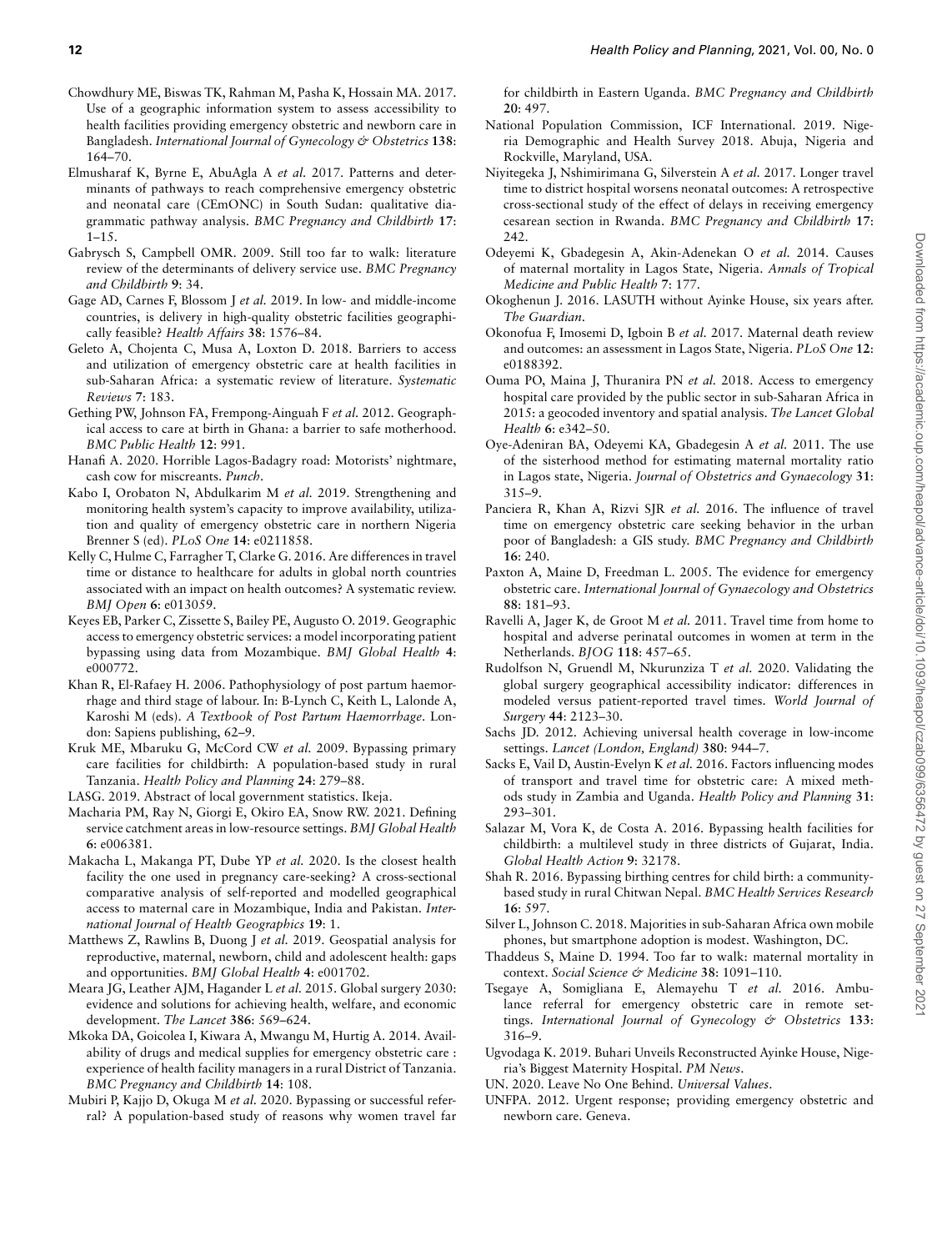- <span id="page-11-8"></span>Chowdhury ME, Biswas TK, Rahman M, Pasha K, Hossain MA. 2017. Use of a geographic information system to assess accessibility to health facilities providing emergency obstetric and newborn care in Bangladesh. *International Journal of Gynecology & Obstetrics* **138**: 164–70.
- <span id="page-11-34"></span>Elmusharaf K, Byrne E, AbuAgla A *et al.* 2017. Patterns and determinants of pathways to reach comprehensive emergency obstetric and neonatal care (CEmONC) in South Sudan: qualitative diagrammatic pathway analysis. *BMC Pregnancy and Childbirth* **17**: 1–15.
- <span id="page-11-26"></span>Gabrysch S, Campbell OMR. 2009. Still too far to walk: literature review of the determinants of delivery service use. *BMC Pregnancy and Childbirth* **9**: 34.
- <span id="page-11-35"></span>Gage AD, Carnes F, Blossom J *et al.* 2019. In low- and middle-income countries, is delivery in high-quality obstetric facilities geographically feasible? *Health Affairs* **38**: 1576–84.
- <span id="page-11-25"></span>Geleto A, Chojenta C, Musa A, Loxton D. 2018. Barriers to access and utilization of emergency obstetric care at health facilities in sub-Saharan Africa: a systematic review of literature. *Systematic Reviews* **7**: 183.
- <span id="page-11-7"></span>Gething PW, Johnson FA, Frempong-Ainguah F *et al.* 2012. Geographical access to care at birth in Ghana: a barrier to safe motherhood. *BMC Public Health* **12**: 991.
- <span id="page-11-30"></span>Hanafi A. 2020. Horrible Lagos-Badagry road: Motorists' nightmare, cash cow for miscreants. *Punch*.
- <span id="page-11-29"></span>Kabo I, Orobaton N, Abdulkarim M *et al.* 2019. Strengthening and monitoring health system's capacity to improve availability, utilization and quality of emergency obstetric care in northern Nigeria Brenner S (ed). *PLoS One* **14**: e0211858.
- <span id="page-11-16"></span>Kelly C, Hulme C, Farragher T, Clarke G. 2016. Are differences in travel time or distance to healthcare for adults in global north countries associated with an impact on health outcomes? A systematic review. *BMJ Open* **6**: e013059.
- <span id="page-11-15"></span>Keyes EB, Parker C, Zissette S, Bailey PE, Augusto O. 2019. Geographic access to emergency obstetric services: a model incorporating patient bypassing using data from Mozambique. *BMJ Global Health* **4**: e000772.
- <span id="page-11-5"></span>Khan R, El-Rafaey H. 2006. Pathophysiology of post partum haemorrhage and third stage of labour. In: B-Lynch C, Keith L, Lalonde A, Karoshi M (eds). *A Textbook of Post Partum Haemorrhage*. London: Sapiens publishing, 62–9.
- <span id="page-11-12"></span>Kruk ME, Mbaruku G, McCord CW *et al.* 2009. Bypassing primary care facilities for childbirth: A population-based study in rural Tanzania. *Health Policy and Planning* **24**: 279–88.

<span id="page-11-17"></span>LASG. 2019. Abstract of local government statistics. Ikeja.

- <span id="page-11-32"></span>Macharia PM, Ray N, Giorgi E, Okiro EA, Snow RW. 2021. Defining service catchment areas in low-resource settings. *BMJ Global Health* **6**: e006381.
- <span id="page-11-9"></span>Makacha L, Makanga PT, Dube YP *et al.* 2020. Is the closest health facility the one used in pregnancy care-seeking? A cross-sectional comparative analysis of self-reported and modelled geographical access to maternal care in Mozambique, India and Pakistan. *International Journal of Health Geographics* **19**: 1.
- <span id="page-11-38"></span>Matthews Z, Rawlins B, Duong J *et al.* 2019. Geospatial analysis for reproductive, maternal, newborn, child and adolescent health: gaps and opportunities. *BMJ Global Health* **4**: e001702.
- <span id="page-11-4"></span>Meara JG, Leather AJM, Hagander L *et al.* 2015. Global surgery 2030: evidence and solutions for achieving health, welfare, and economic development. *The Lancet* **386**: 569–624.
- <span id="page-11-31"></span>Mkoka DA, Goicolea I, Kiwara A, Mwangu M, Hurtig A. 2014. Availability of drugs and medical supplies for emergency obstetric care : experience of health facility managers in a rural District of Tanzania. *BMC Pregnancy and Childbirth* **14**: 108.
- <span id="page-11-10"></span>Mubiri P, Kajjo D, Okuga M *et al.* 2020. Bypassing or successful referral? A population-based study of reasons why women travel far

for childbirth in Eastern Uganda. *BMC Pregnancy and Childbirth* **20**: 497.

- <span id="page-11-18"></span>National Population Commission, ICF International. 2019. Nigeria Demographic and Health Survey 2018. Abuja, Nigeria and Rockville, Maryland, USA.
- <span id="page-11-27"></span>Niyitegeka J, Nshimirimana G, Silverstein A *et al.* 2017. Longer travel time to district hospital worsens neonatal outcomes: A retrospective cross-sectional study of the effect of delays in receiving emergency cesarean section in Rwanda. *BMC Pregnancy and Childbirth* **17**: 242.
- <span id="page-11-20"></span>Odeyemi K, Gbadegesin A, Akin-Adenekan O *et al.* 2014. Causes of maternal mortality in Lagos State, Nigeria. *Annals of Tropical Medicine and Public Health* **7**: 177.
- <span id="page-11-22"></span>Okoghenun J. 2016. LASUTH without Ayinke House, six years after. *The Guardian*.
- <span id="page-11-3"></span>Okonofua F, Imosemi D, Igboin B *et al.* 2017. Maternal death review and outcomes: an assessment in Lagos State, Nigeria. *PLoS One* **12**: e0188392
- <span id="page-11-28"></span>Ouma PO, Maina J, Thuranira PN *et al.* 2018. Access to emergency hospital care provided by the public sector in sub-Saharan Africa in 2015: a geocoded inventory and spatial analysis. *The Lancet Global Health* **6**: e342–50.
- <span id="page-11-19"></span>Oye-Adeniran BA, Odeyemi KA, Gbadegesin A *et al.* 2011. The use of the sisterhood method for estimating maternal mortality ratio in Lagos state, Nigeria. *Journal of Obstetrics and Gynaecology* **31**: 315–9.
- <span id="page-11-36"></span>Panciera R, Khan A, Rizvi SJR *et al.* 2016. The influence of travel time on emergency obstetric care seeking behavior in the urban poor of Bangladesh: a GIS study. *BMC Pregnancy and Childbirth* **16**: 240.
- <span id="page-11-0"></span>Paxton A, Maine D, Freedman L. 2005. The evidence for emergency obstetric care. *International Journal of Gynaecology and Obstetrics* **88**: 181–93.
- <span id="page-11-2"></span>Ravelli A, Jager K, de Groot M *et al.* 2011. Travel time from home to hospital and adverse perinatal outcomes in women at term in the Netherlands. *BJOG* **118**: 457–65.
- <span id="page-11-11"></span>Rudolfson N, Gruendl M, Nkurunziza T *et al.* 2020. Validating the global surgery geographical accessibility indicator: differences in modeled versus patient-reported travel times. *World Journal of Surgery* **44**: 2123–30.
- <span id="page-11-21"></span>Sachs JD. 2012. Achieving universal health coverage in low-income settings. *Lancet (London, England)* **380**: 944–7.
- <span id="page-11-24"></span>Sacks E, Vail D, Austin-Evelyn K *et al.* 2016. Factors influencing modes of transport and travel time for obstetric care: A mixed methods study in Zambia and Uganda. *Health Policy and Planning* **31**: 293–301.
- <span id="page-11-13"></span>Salazar M, Vora K, de Costa A. 2016. Bypassing health facilities for childbirth: a multilevel study in three districts of Gujarat, India. *Global Health Action* **9**: 32178.
- <span id="page-11-14"></span>Shah R. 2016. Bypassing birthing centres for child birth: a communitybased study in rural Chitwan Nepal. *BMC Health Services Research* **16**: 597.
- <span id="page-11-39"></span>Silver L, Johnson C. 2018. Majorities in sub-Saharan Africa own mobile phones, but smartphone adoption is modest. Washington, DC.
- <span id="page-11-1"></span>Thaddeus S, Maine D. 1994. Too far to walk: maternal mortality in context. *Social Science & Medicine* **38**: 1091–110.
- <span id="page-11-33"></span>Tsegaye A, Somigliana E, Alemayehu T *et al.* 2016. Ambulance referral for emergency obstetric care in remote settings. *International Journal of Gynecology & Obstetrics* **133**: 316–9.
- <span id="page-11-23"></span>Ugvodaga K. 2019. Buhari Unveils Reconstructed Ayinke House, Nigeria's Biggest Maternity Hospital. *PM News*.
- <span id="page-11-37"></span>UN. 2020. Leave No One Behind. *Universal Values*.
- <span id="page-11-6"></span>UNFPA. 2012. Urgent response; providing emergency obstetric and newborn care. Geneva.